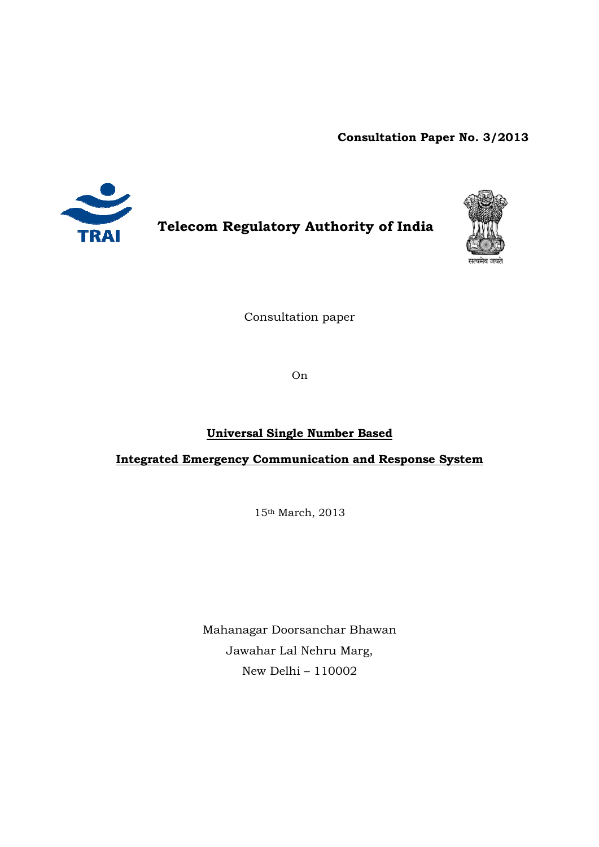**Consultation Paper No. No. 3/2013**



**Telecom Regulatory Authority of India**



Consultation paper

On

# **Universal Single Number Based**

**Integrated Emergency Communication and Response System** 

15th March, 2013

Mahanagar Doorsanchar Bhawan Jawahar Lal Nehru Marg, New Delhi – 110002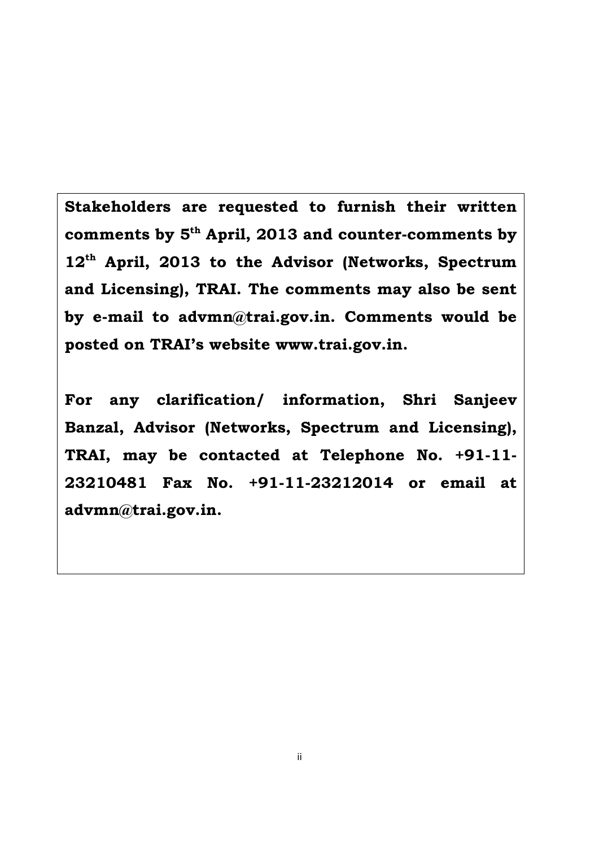**posted on TRAI's website www.trai.gov.in. Stakeholders are requested to furnish their written comments by 5th April, 2013 and counter-comments by 12th April, 2013 to the Advisor (Networks, Spectrum and Licensing), TRAI. The comments may also be sent by e-mail to advmn@trai.gov.in. Comments would be** 

**For any clarification/ information, Shri Sanjeev Banzal, Advisor (Networks, Spectrum and Licensing), TRAI, may be contacted at Telephone No. +91-11- 23210481 Fax No. +91-11-23212014 or email at advmn@trai.gov.in.**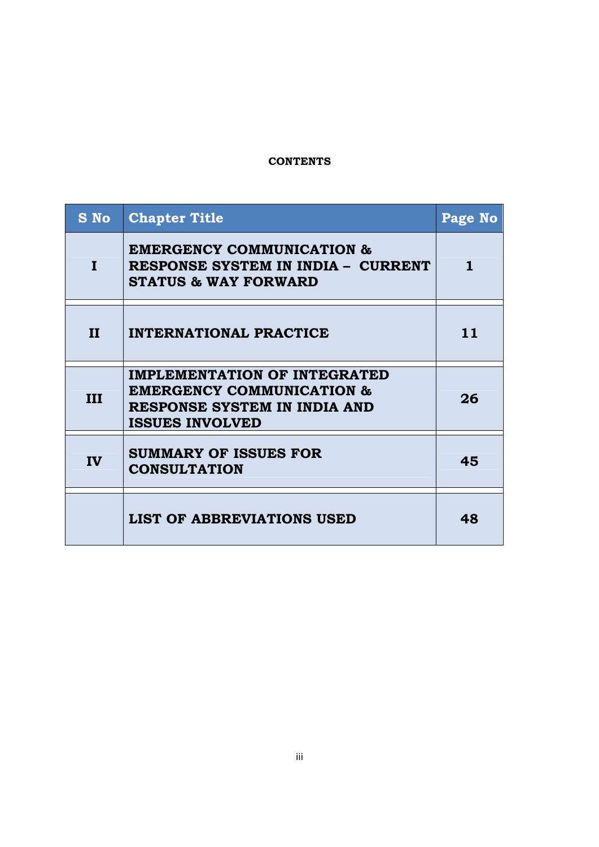# **CONTENTS**

| S No         | <b>Chapter Title</b>                                                                                                                  | Page No |
|--------------|---------------------------------------------------------------------------------------------------------------------------------------|---------|
| L            | <b>EMERGENCY COMMUNICATION &amp;</b><br>RESPONSE SYSTEM IN INDIA - CURRENT<br><b>STATUS &amp; WAY FORWARD</b>                         | 1.      |
| $\mathbf{H}$ | <b>INTERNATIONAL PRACTICE</b>                                                                                                         | 11      |
| III          | <b>IMPLEMENTATION OF INTEGRATED</b><br><b>EMERGENCY COMMUNICATION &amp;</b><br>RESPONSE SYSTEM IN INDIA AND<br><b>ISSUES INVOLVED</b> | 26      |
| IV           | <b>SUMMARY OF ISSUES FOR</b><br><b>CONSULTATION</b>                                                                                   | 45      |
|              | <b>LIST OF ABBREVIATIONS USED</b>                                                                                                     | 48      |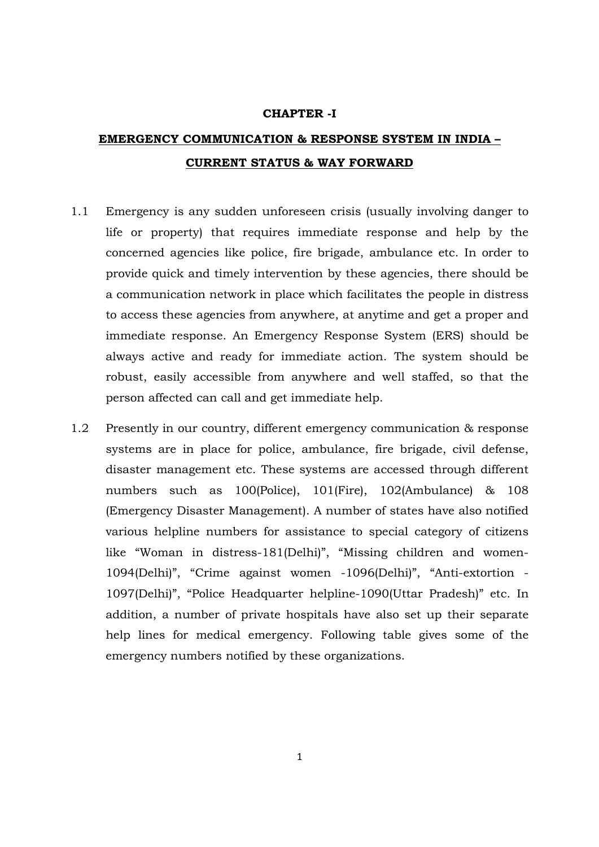#### **CHAPTER -I**

# **EMERGENCY COMMUNICATION & RESPONSE SYSTEM IN INDIA – CURRENT STATUS & WAY FORWARD**

- 1.1 Emergency is any sudden unforeseen crisis (usually involving danger to life or property) that requires immediate response and help by the concerned agencies like police, fire brigade, ambulance etc. In order to provide quick and timely intervention by these agencies, there should be a communication network in place which facilitates the people in distress to access these agencies from anywhere, at anytime and get a proper and immediate response. An Emergency Response System (ERS) should be always active and ready for immediate action. The system should be robust, easily accessible from anywhere and well staffed, so that the person affected can call and get immediate help.
- 1.2 Presently in our country, different emergency communication & response systems are in place for police, ambulance, fire brigade, civil defense, disaster management etc. These systems are accessed through different numbers such as 100(Police), 101(Fire), 102(Ambulance) & 108 (Emergency Disaster Management). A number of states have also notified various helpline numbers for assistance to special category of citizens like "Woman in distress-181(Delhi)", "Missing children and women-1094(Delhi)", "Crime against women -1096(Delhi)", "Anti-extortion - 1097(Delhi)", "Police Headquarter helpline-1090(Uttar Pradesh)" etc. In addition, a number of private hospitals have also set up their separate help lines for medical emergency. Following table gives some of the emergency numbers notified by these organizations.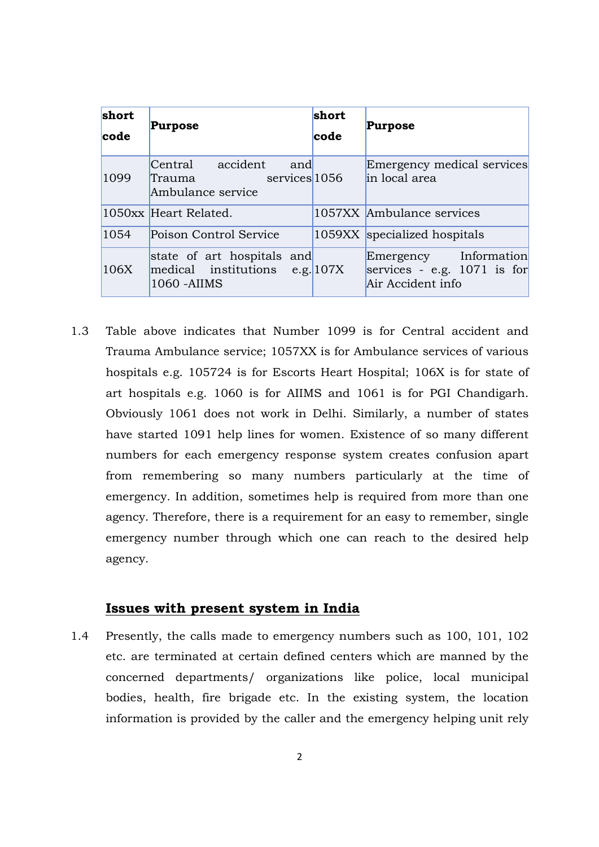| short<br>code | Purpose                                                                        | short<br>code | <b>Purpose</b>                                                              |
|---------------|--------------------------------------------------------------------------------|---------------|-----------------------------------------------------------------------------|
| 1099          | Central accident<br>and<br>services 1056<br>Trauma<br>Ambulance service        |               | Emergency medical services<br>in local area                                 |
|               | 1050xx Heart Related.                                                          |               | 1057XX Ambulance services                                                   |
| 1054          | Poison Control Service                                                         |               | 1059XX specialized hospitals                                                |
| 106X          | state of art hospitals and<br>$medical$ institutions e.g. 107X<br>1060 - AIIMS |               | Emergency Information<br>services - e.g. $1071$ is for<br>Air Accident info |

1.3 Table above indicates that Number 1099 is for Central accident and Trauma Ambulance service; 1057XX is for Ambulance services of various hospitals e.g. 105724 is for Escorts Heart Hospital; 106X is for state of art hospitals e.g. 1060 is for AIIMS and 1061 is for PGI Chandigarh. Obviously 1061 does not work in Delhi. Similarly, a number of states have started 1091 help lines for women. Existence of so many different numbers for each emergency response system creates confusion apart from remembering so many numbers particularly at the time of emergency. In addition, sometimes help is required from more than one agency. Therefore, there is a requirement for an easy to remember, single emergency number through which one can reach to the desired help agency.

## **Issues with present system in India**

1.4 Presently, the calls made to emergency numbers such as 100, 101, 102 etc. are terminated at certain defined centers which are manned by the concerned departments/ organizations like police, local municipal bodies, health, fire brigade etc. In the existing system, the location information is provided by the caller and the emergency helping unit rely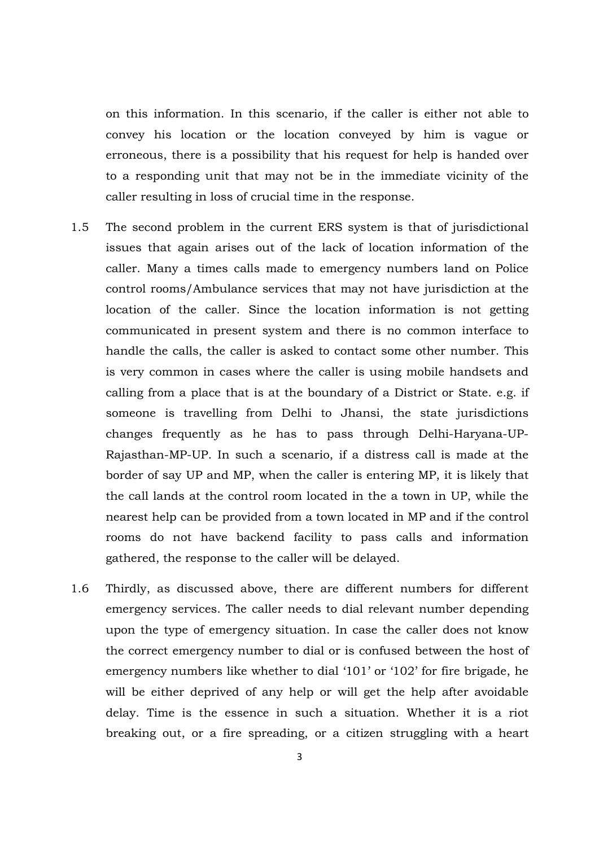on this information. In this scenario, if the caller is either not able to convey his location or the location conveyed by him is vague or erroneous, there is a possibility that his request for help is handed over to a responding unit that may not be in the immediate vicinity of the caller resulting in loss of crucial time in the response.

- 1.5 The second problem in the current ERS system is that of jurisdictional issues that again arises out of the lack of location information of the caller. Many a times calls made to emergency numbers land on Police control rooms/Ambulance services that may not have jurisdiction at the location of the caller. Since the location information is not getting communicated in present system and there is no common interface to handle the calls, the caller is asked to contact some other number. This is very common in cases where the caller is using mobile handsets and calling from a place that is at the boundary of a District or State. e.g. if someone is travelling from Delhi to Jhansi, the state jurisdictions changes frequently as he has to pass through Delhi-Haryana-UP-Rajasthan-MP-UP. In such a scenario, if a distress call is made at the border of say UP and MP, when the caller is entering MP, it is likely that the call lands at the control room located in the a town in UP, while the nearest help can be provided from a town located in MP and if the control rooms do not have backend facility to pass calls and information gathered, the response to the caller will be delayed.
- 1.6 Thirdly, as discussed above, there are different numbers for different emergency services. The caller needs to dial relevant number depending upon the type of emergency situation. In case the caller does not know the correct emergency number to dial or is confused between the host of emergency numbers like whether to dial '101' or '102' for fire brigade, he will be either deprived of any help or will get the help after avoidable delay. Time is the essence in such a situation. Whether it is a riot breaking out, or a fire spreading, or a citizen struggling with a heart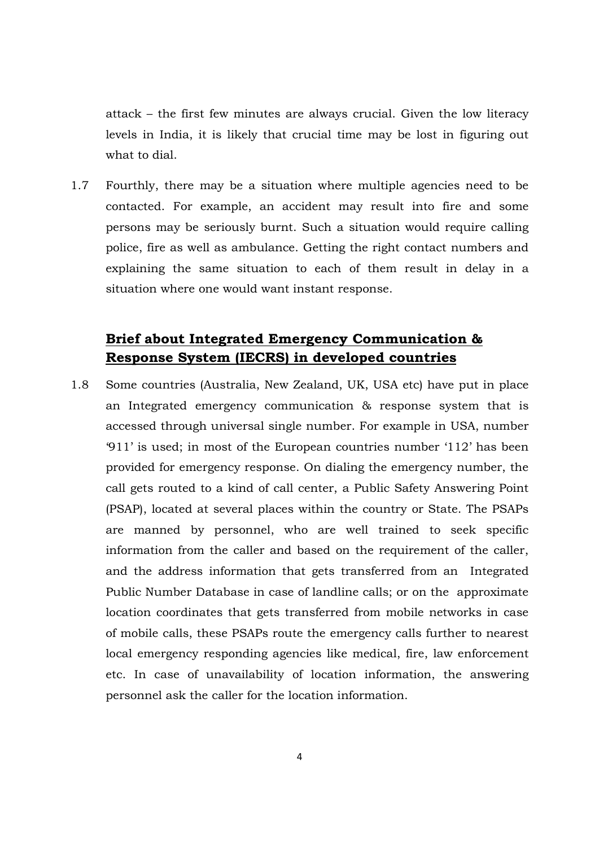attack – the first few minutes are always crucial. Given the low literacy levels in India, it is likely that crucial time may be lost in figuring out what to dial.

1.7 Fourthly, there may be a situation where multiple agencies need to be contacted. For example, an accident may result into fire and some persons may be seriously burnt. Such a situation would require calling police, fire as well as ambulance. Getting the right contact numbers and explaining the same situation to each of them result in delay in a situation where one would want instant response.

# **Brief about Integrated Emergency Communication & Response System (IECRS) in developed countries**

1.8 Some countries (Australia, New Zealand, UK, USA etc) have put in place an Integrated emergency communication & response system that is accessed through universal single number. For example in USA, number '911' is used; in most of the European countries number '112' has been provided for emergency response. On dialing the emergency number, the call gets routed to a kind of call center, a Public Safety Answering Point (PSAP), located at several places within the country or State. The PSAPs are manned by personnel, who are well trained to seek specific information from the caller and based on the requirement of the caller, and the address information that gets transferred from an Integrated Public Number Database in case of landline calls; or on the approximate location coordinates that gets transferred from mobile networks in case of mobile calls, these PSAPs route the emergency calls further to nearest local emergency responding agencies like medical, fire, law enforcement etc. In case of unavailability of location information, the answering personnel ask the caller for the location information.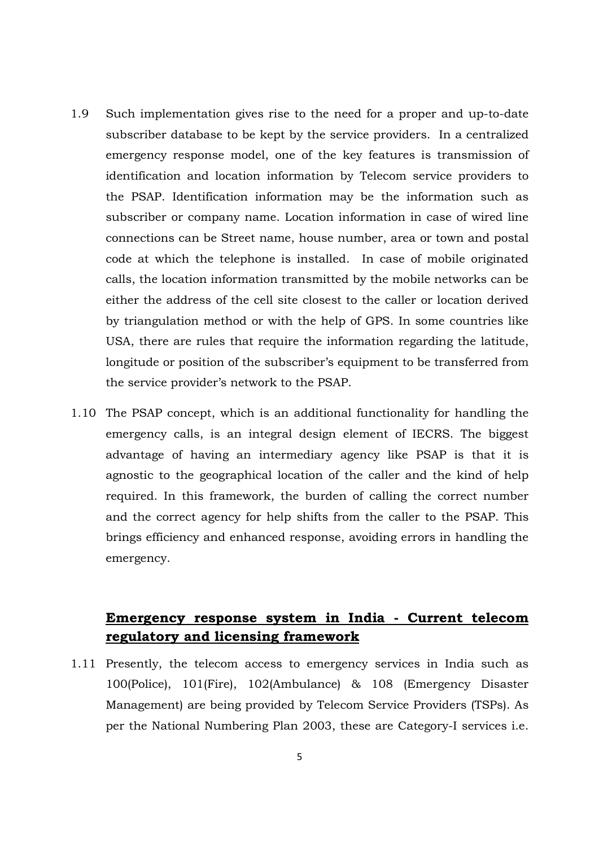- 1.9 Such implementation gives rise to the need for a proper and up-to-date subscriber database to be kept by the service providers. In a centralized emergency response model, one of the key features is transmission of identification and location information by Telecom service providers to the PSAP. Identification information may be the information such as subscriber or company name. Location information in case of wired line connections can be Street name, house number, area or town and postal code at which the telephone is installed. In case of mobile originated calls, the location information transmitted by the mobile networks can be either the address of the cell site closest to the caller or location derived by triangulation method or with the help of GPS. In some countries like USA, there are rules that require the information regarding the latitude, longitude or position of the subscriber's equipment to be transferred from the service provider's network to the PSAP.
- 1.10 The PSAP concept, which is an additional functionality for handling the emergency calls, is an integral design element of IECRS. The biggest advantage of having an intermediary agency like PSAP is that it is agnostic to the geographical location of the caller and the kind of help required. In this framework, the burden of calling the correct number and the correct agency for help shifts from the caller to the PSAP. This brings efficiency and enhanced response, avoiding errors in handling the emergency.

# **Emergency response system in India - Current telecom regulatory and licensing framework**

1.11 Presently, the telecom access to emergency services in India such as 100(Police), 101(Fire), 102(Ambulance) & 108 (Emergency Disaster Management) are being provided by Telecom Service Providers (TSPs). As per the National Numbering Plan 2003, these are Category-I services i.e.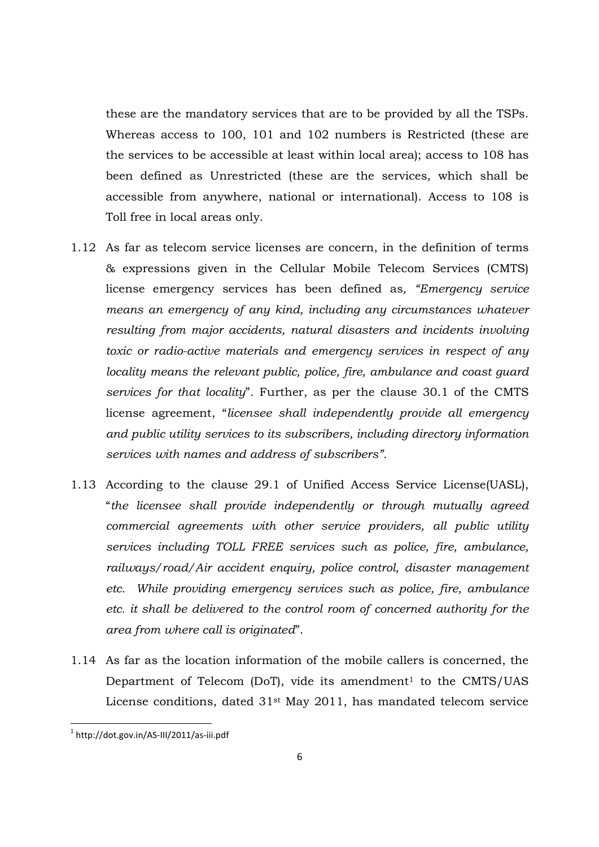these are the mandatory services that are to be provided by all the TSPs. Whereas access to 100, 101 and 102 numbers is Restricted (these are the services to be accessible at least within local area); access to 108 has been defined as Unrestricted (these are the services, which shall be accessible from anywhere, national or international). Access to 108 is Toll free in local areas only.

- 1.12 As far as telecom service licenses are concern, in the definition of terms & expressions given in the Cellular Mobile Telecom Services (CMTS) license emergency services has been defined as*, "Emergency service means an emergency of any kind, including any circumstances whatever resulting from major accidents, natural disasters and incidents involving toxic or radio-active materials and emergency services in respect of any locality means the relevant public, police, fire, ambulance and coast guard services for that locality*". Further, as per the clause 30.1 of the CMTS license agreement, "*licensee shall independently provide all emergency and public utility services to its subscribers, including directory information services with names and address of subscribers".*
- 1.13 According to the clause 29.1 of Unified Access Service License(UASL), "*the licensee shall provide independently or through mutually agreed commercial agreements with other service providers, all public utility services including TOLL FREE services such as police, fire, ambulance, railways/road/Air accident enquiry, police control, disaster management etc. While providing emergency services such as police, fire, ambulance etc. it shall be delivered to the control room of concerned authority for the area from where call is originated*".
- 1.14 As far as the location information of the mobile callers is concerned, the Department of Telecom (DoT), vide its amendment<sup>1</sup> to the CMTS/UAS License conditions, dated 31st May 2011, has mandated telecom service

<sup>1</sup> http://dot.gov.in/AS-III/2011/as-iii.pdf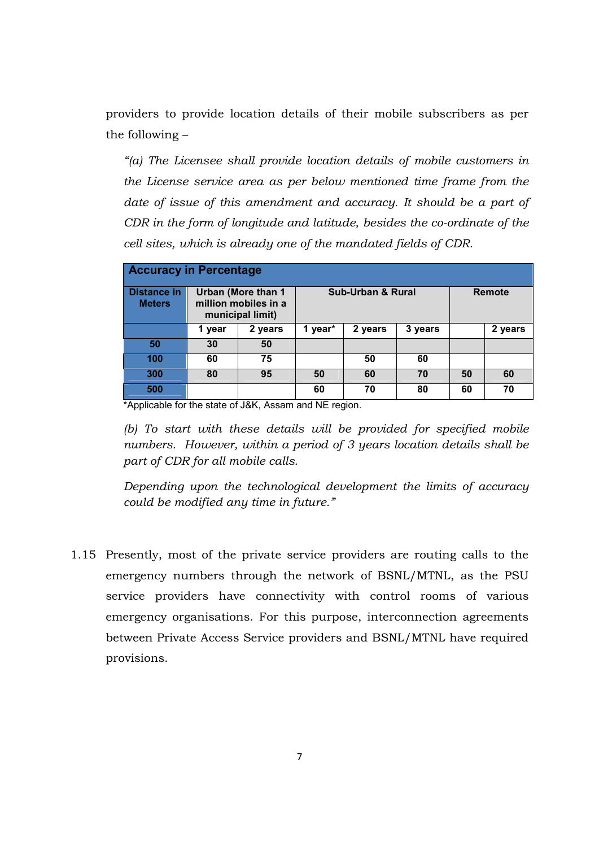providers to provide location details of their mobile subscribers as per the following –

*"(a) The Licensee shall provide location details of mobile customers in the License service area as per below mentioned time frame from the*  date of issue of this amendment and accuracy. It should be a part of *CDR in the form of longitude and latitude, besides the co-ordinate of the cell sites, which is already one of the mandated fields of CDR.* 

| <b>Accuracy in Percentage</b>       |        |                                                                       |         |                              |         |    |               |
|-------------------------------------|--------|-----------------------------------------------------------------------|---------|------------------------------|---------|----|---------------|
| <b>Distance in</b><br><b>Meters</b> |        | <b>Urban (More than 1</b><br>million mobiles in a<br>municipal limit) |         | <b>Sub-Urban &amp; Rural</b> |         |    | <b>Remote</b> |
|                                     | 1 year | 2 years                                                               | 1 year* | 2 years                      | 3 years |    | 2 years       |
| 50                                  | 30     | 50                                                                    |         |                              |         |    |               |
| 100                                 | 60     | 75                                                                    |         | 50                           | 60      |    |               |
| 300                                 | 80     | 95                                                                    | 50      | 60                           | 70      | 50 | 60            |
| 500                                 |        |                                                                       | 60      | 70                           | 80      | 60 | 70            |

\*Applicable for the state of J&K, Assam and NE region.

*(b) To start with these details will be provided for specified mobile numbers. However, within a period of 3 years location details shall be part of CDR for all mobile calls.* 

*Depending upon the technological development the limits of accuracy could be modified any time in future."* 

1.15 Presently, most of the private service providers are routing calls to the emergency numbers through the network of BSNL/MTNL, as the PSU service providers have connectivity with control rooms of various emergency organisations. For this purpose, interconnection agreements between Private Access Service providers and BSNL/MTNL have required provisions.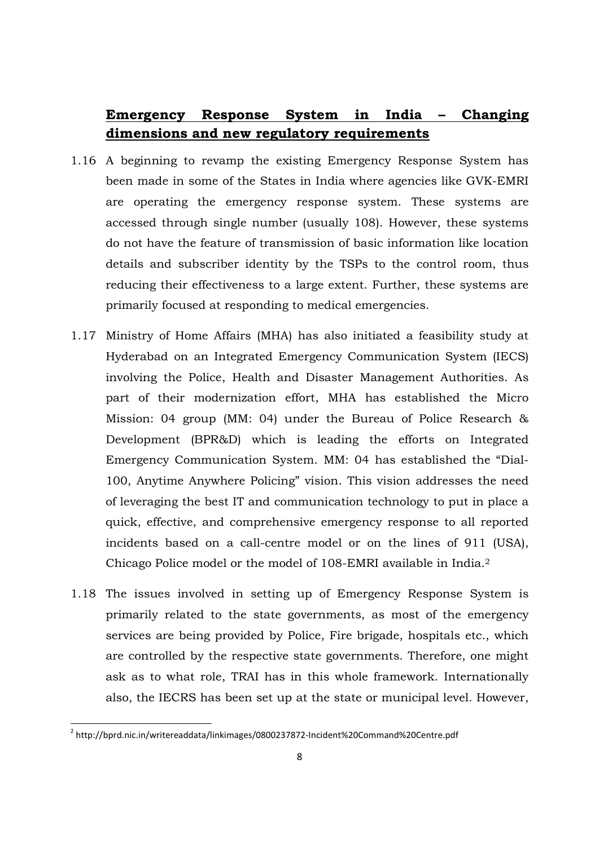# **Emergency Response System in India – Changing dimensions and new regulatory requirements**

- 1.16 A beginning to revamp the existing Emergency Response System has been made in some of the States in India where agencies like GVK-EMRI are operating the emergency response system. These systems are accessed through single number (usually 108). However, these systems do not have the feature of transmission of basic information like location details and subscriber identity by the TSPs to the control room, thus reducing their effectiveness to a large extent. Further, these systems are primarily focused at responding to medical emergencies.
- 1.17 Ministry of Home Affairs (MHA) has also initiated a feasibility study at Hyderabad on an Integrated Emergency Communication System (IECS) involving the Police, Health and Disaster Management Authorities. As part of their modernization effort, MHA has established the Micro Mission: 04 group (MM: 04) under the Bureau of Police Research & Development (BPR&D) which is leading the efforts on Integrated Emergency Communication System. MM: 04 has established the "Dial-100, Anytime Anywhere Policing" vision. This vision addresses the need of leveraging the best IT and communication technology to put in place a quick, effective, and comprehensive emergency response to all reported incidents based on a call-centre model or on the lines of 911 (USA), Chicago Police model or the model of 108-EMRI available in India.<sup>2</sup>
- 1.18 The issues involved in setting up of Emergency Response System is primarily related to the state governments, as most of the emergency services are being provided by Police, Fire brigade, hospitals etc., which are controlled by the respective state governments. Therefore, one might ask as to what role, TRAI has in this whole framework. Internationally also, the IECRS has been set up at the state or municipal level. However,

<sup>&</sup>lt;sup>2</sup> http://bprd.nic.in/writereaddata/linkimages/0800237872-Incident%20Command%20Centre.pdf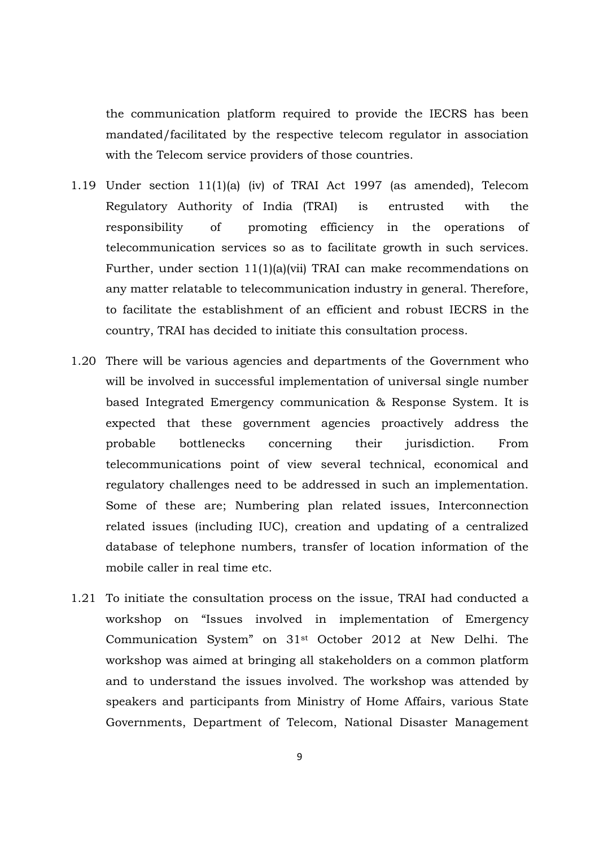the communication platform required to provide the IECRS has been mandated/facilitated by the respective telecom regulator in association with the Telecom service providers of those countries.

- 1.19 Under section 11(1)(a) (iv) of TRAI Act 1997 (as amended), Telecom Regulatory Authority of India (TRAI) is entrusted with the responsibility of promoting efficiency in the operations of telecommunication services so as to facilitate growth in such services. Further, under section 11(1)(a)(vii) TRAI can make recommendations on any matter relatable to telecommunication industry in general. Therefore, to facilitate the establishment of an efficient and robust IECRS in the country, TRAI has decided to initiate this consultation process.
- 1.20 There will be various agencies and departments of the Government who will be involved in successful implementation of universal single number based Integrated Emergency communication & Response System. It is expected that these government agencies proactively address the probable bottlenecks concerning their jurisdiction. From telecommunications point of view several technical, economical and regulatory challenges need to be addressed in such an implementation. Some of these are; Numbering plan related issues, Interconnection related issues (including IUC), creation and updating of a centralized database of telephone numbers, transfer of location information of the mobile caller in real time etc.
- 1.21 To initiate the consultation process on the issue, TRAI had conducted a workshop on "Issues involved in implementation of Emergency Communication System" on 31st October 2012 at New Delhi. The workshop was aimed at bringing all stakeholders on a common platform and to understand the issues involved. The workshop was attended by speakers and participants from Ministry of Home Affairs, various State Governments, Department of Telecom, National Disaster Management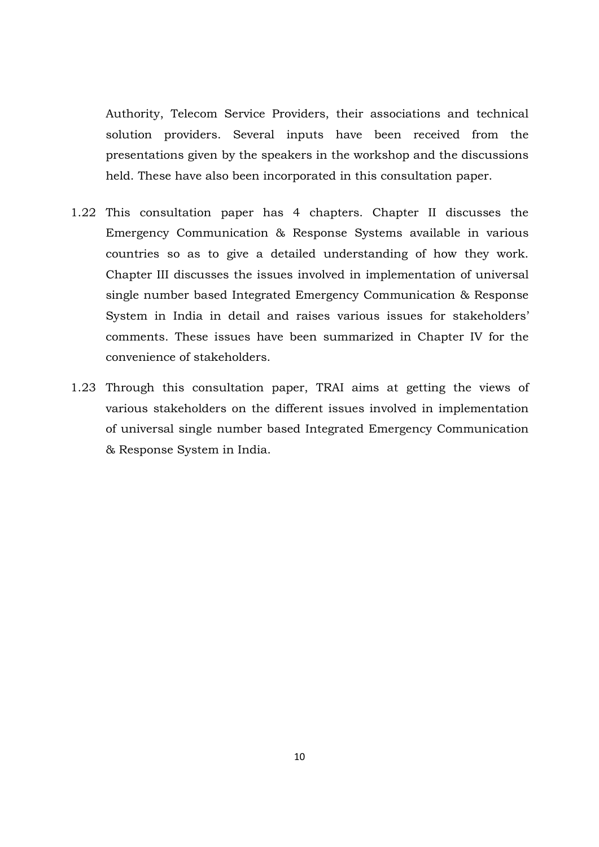Authority, Telecom Service Providers, their associations and technical solution providers. Several inputs have been received from the presentations given by the speakers in the workshop and the discussions held. These have also been incorporated in this consultation paper.

- 1.22 This consultation paper has 4 chapters. Chapter II discusses the Emergency Communication & Response Systems available in various countries so as to give a detailed understanding of how they work. Chapter III discusses the issues involved in implementation of universal single number based Integrated Emergency Communication & Response System in India in detail and raises various issues for stakeholders' comments. These issues have been summarized in Chapter IV for the convenience of stakeholders.
- 1.23 Through this consultation paper, TRAI aims at getting the views of various stakeholders on the different issues involved in implementation of universal single number based Integrated Emergency Communication & Response System in India.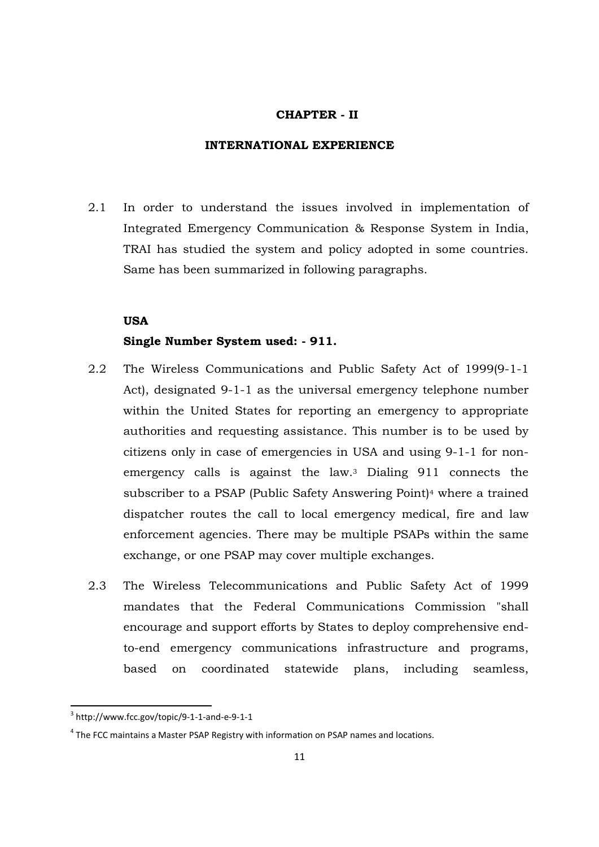#### **CHAPTER - II**

#### **INTERNATIONAL EXPERIENCE**

2.1 In order to understand the issues involved in implementation of Integrated Emergency Communication & Response System in India, TRAI has studied the system and policy adopted in some countries. Same has been summarized in following paragraphs.

# **USA**

#### **Single Number System used: - 911.**

- 2.2 The Wireless Communications and Public Safety Act of 1999(9-1-1 Act), designated 9-1-1 as the universal emergency telephone number within the United States for reporting an emergency to appropriate authorities and requesting assistance. This number is to be used by citizens only in case of emergencies in USA and using 9-1-1 for nonemergency calls is against the law.<sup>3</sup> Dialing 911 connects the subscriber to a PSAP (Public Safety Answering Point) <sup>4</sup> where a trained dispatcher routes the call to local emergency medical, fire and law enforcement agencies. There may be multiple PSAPs within the same exchange, or one PSAP may cover multiple exchanges.
- 2.3 The Wireless Telecommunications and Public Safety Act of 1999 mandates that the Federal Communications Commission "shall encourage and support efforts by States to deploy comprehensive endto-end emergency communications infrastructure and programs, based on coordinated statewide plans, including seamless,

<sup>3</sup> http://www.fcc.gov/topic/9-1-1-and-e-9-1-1

 $<sup>4</sup>$  The FCC maintains a Master PSAP Registry with information on PSAP names and locations.</sup>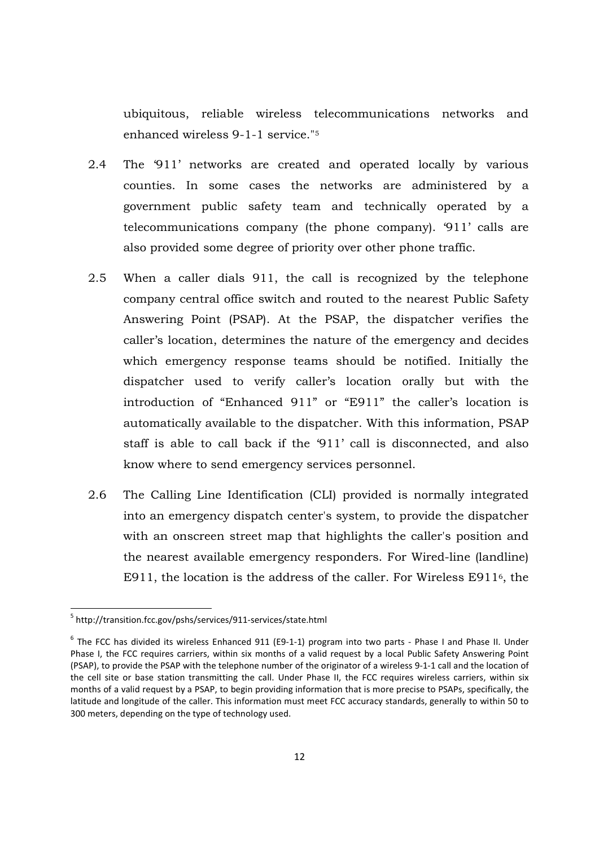ubiquitous, reliable wireless telecommunications networks and enhanced wireless 9-1-1 service."<sup>5</sup>

- 2.4 The '911' networks are created and operated locally by various counties. In some cases the networks are administered by a government public safety team and technically operated by a telecommunications company (the phone company). '911' calls are also provided some degree of priority over other phone traffic.
- 2.5 When a caller dials 911, the call is recognized by the telephone company central office switch and routed to the nearest Public Safety Answering Point (PSAP). At the PSAP, the dispatcher verifies the caller's location, determines the nature of the emergency and decides which emergency response teams should be notified. Initially the dispatcher used to verify caller's location orally but with the introduction of "Enhanced 911" or "E911" the caller's location is automatically available to the dispatcher. With this information, PSAP staff is able to call back if the '911' call is disconnected, and also know where to send emergency services personnel.
- 2.6 The Calling Line Identification (CLI) provided is normally integrated into an emergency dispatch center's system, to provide the dispatcher with an onscreen street map that highlights the caller's position and the nearest available emergency responders. For Wired-line (landline) E911, the location is the address of the caller. For Wireless E9116, the

<sup>&</sup>lt;sup>5</sup> http://transition.fcc.gov/pshs/services/911-services/state.html

 $^6$  The FCC has divided its wireless Enhanced 911 (E9-1-1) program into two parts - Phase I and Phase II. Under Phase I, the FCC requires carriers, within six months of a valid request by a local Public Safety Answering Point (PSAP), to provide the PSAP with the telephone number of the originator of a wireless 9-1-1 call and the location of the cell site or base station transmitting the call. Under Phase II, the FCC requires wireless carriers, within six months of a valid request by a PSAP, to begin providing information that is more precise to PSAPs, specifically, the latitude and longitude of the caller. This information must meet FCC accuracy standards, generally to within 50 to 300 meters, depending on the type of technology used.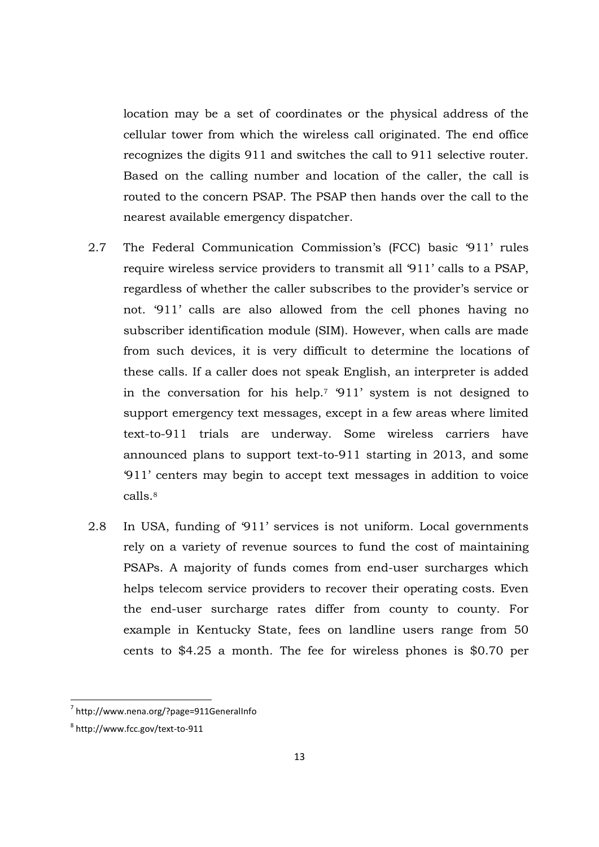location may be a set of coordinates or the physical address of the cellular tower from which the wireless call originated. The end office recognizes the digits 911 and switches the call to 911 selective router. Based on the calling number and location of the caller, the call is routed to the concern PSAP. The PSAP then hands over the call to the nearest available emergency dispatcher.

- 2.7 The Federal Communication Commission's (FCC) basic '911' rules require wireless service providers to transmit all '911' calls to a PSAP, regardless of whether the caller subscribes to the provider's service or not. '911' calls are also allowed from the cell phones having no subscriber identification module (SIM). However, when calls are made from such devices, it is very difficult to determine the locations of these calls. If a caller does not speak English, an interpreter is added in the conversation for his help.7 '911' system is not designed to support emergency text messages, except in a few areas where limited text-to-911 trials are underway. Some wireless carriers have announced plans to support text-to-911 starting in 2013, and some '911' centers may begin to accept text messages in addition to voice calls.<sup>8</sup>
- 2.8 In USA, funding of '911' services is not uniform. Local governments rely on a variety of revenue sources to fund the cost of maintaining PSAPs. A majority of funds comes from end-user surcharges which helps telecom service providers to recover their operating costs. Even the end-user surcharge rates differ from county to county. For example in Kentucky State, fees on landline users range from 50 cents to \$4.25 a month. The fee for wireless phones is \$0.70 per

<sup>7</sup> http://www.nena.org/?page=911GeneralInfo

<sup>8</sup> http://www.fcc.gov/text-to-911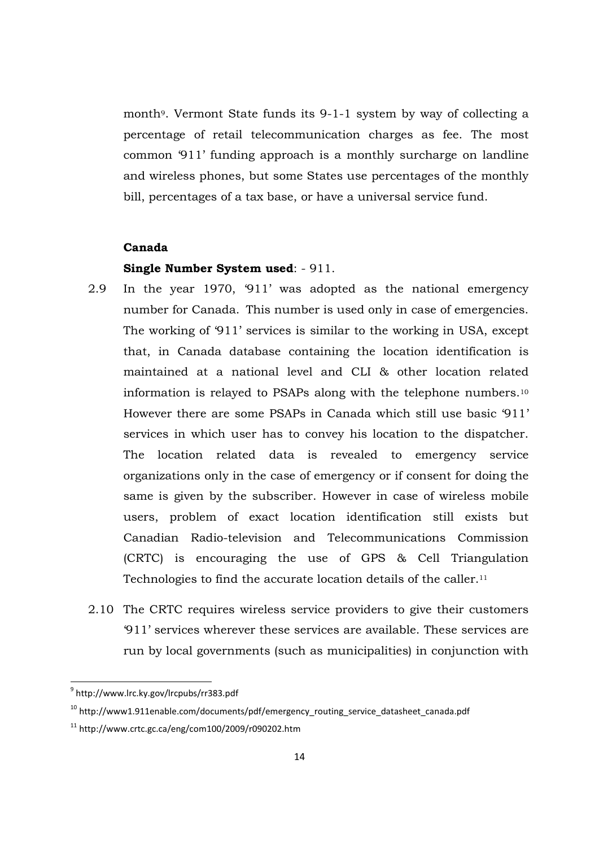month9. Vermont State funds its 9-1-1 system by way of collecting a percentage of retail telecommunication charges as fee. The most common '911' funding approach is a monthly surcharge on landline and wireless phones, but some States use percentages of the monthly bill, percentages of a tax base, or have a universal service fund.

### **Canada**

#### **Single Number System used**: - 911.

- 2.9 In the year 1970, '911' was adopted as the national emergency number for Canada. This number is used only in case of emergencies. The working of '911' services is similar to the working in USA, except that, in Canada database containing the location identification is maintained at a national level and CLI & other location related information is relayed to PSAPs along with the telephone numbers.<sup>10</sup> However there are some PSAPs in Canada which still use basic '911' services in which user has to convey his location to the dispatcher. The location related data is revealed to emergency service organizations only in the case of emergency or if consent for doing the same is given by the subscriber. However in case of wireless mobile users, problem of exact location identification still exists but Canadian Radio-television and Telecommunications Commission (CRTC) is encouraging the use of GPS & Cell Triangulation Technologies to find the accurate location details of the caller.<sup>11</sup>
- 2.10 The CRTC requires wireless service providers to give their customers '911' services wherever these services are available. These services are run by local governments (such as municipalities) in conjunction with

<sup>&</sup>lt;sup>9</sup> http://www.lrc.ky.gov/Ircpubs/rr383.pdf

 $10$  http://www1.911enable.com/documents/pdf/emergency routing service datasheet canada.pdf

 $11$  http://www.crtc.gc.ca/eng/com100/2009/r090202.htm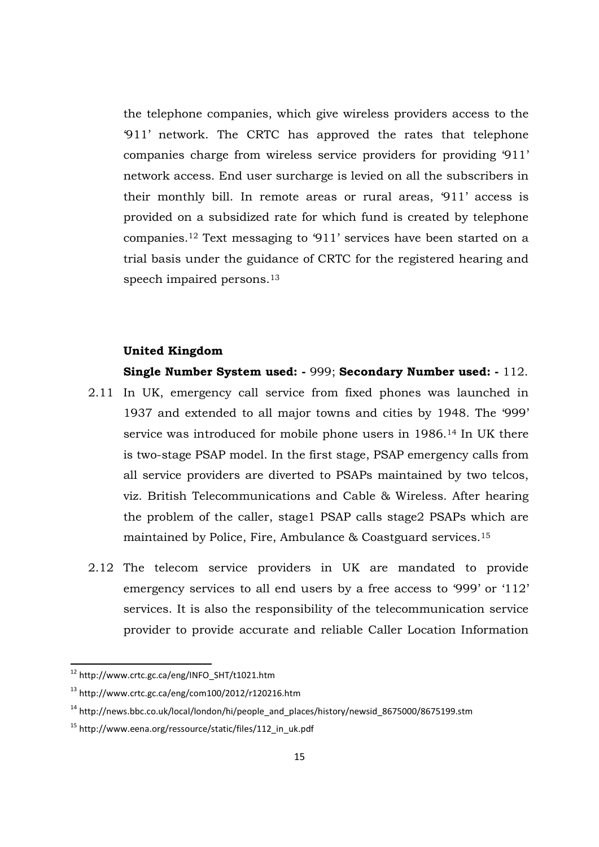the telephone companies, which give wireless providers access to the '911' network. The CRTC has approved the rates that telephone companies charge from wireless service providers for providing '911' network access. End user surcharge is levied on all the subscribers in their monthly bill. In remote areas or rural areas, '911' access is provided on a subsidized rate for which fund is created by telephone companies.<sup>12</sup> Text messaging to '911' services have been started on a trial basis under the guidance of CRTC for the registered hearing and speech impaired persons.<sup>13</sup>

# **United Kingdom**

**Single Number System used: -** 999; **Secondary Number used: -** 112.

- 2.11 In UK, emergency call service from fixed phones was launched in 1937 and extended to all major towns and cities by 1948. The '999' service was introduced for mobile phone users in 1986.14 In UK there is two-stage PSAP model. In the first stage, PSAP emergency calls from all service providers are diverted to PSAPs maintained by two telcos, viz. British Telecommunications and Cable & Wireless. After hearing the problem of the caller, stage1 PSAP calls stage2 PSAPs which are maintained by Police, Fire, Ambulance & Coastguard services.<sup>15</sup>
- 2.12 The telecom service providers in UK are mandated to provide emergency services to all end users by a free access to '999' or '112' services. It is also the responsibility of the telecommunication service provider to provide accurate and reliable Caller Location Information

<sup>12</sup> http://www.crtc.gc.ca/eng/INFO\_SHT/t1021.htm

<sup>13</sup> http://www.crtc.gc.ca/eng/com100/2012/r120216.htm

 $14 \text{ http://news.bbc.co.uk/local/London/hi/people}$  and places/history/newsid 8675000/8675199.stm

<sup>15</sup> http://www.eena.org/ressource/static/files/112\_in\_uk.pdf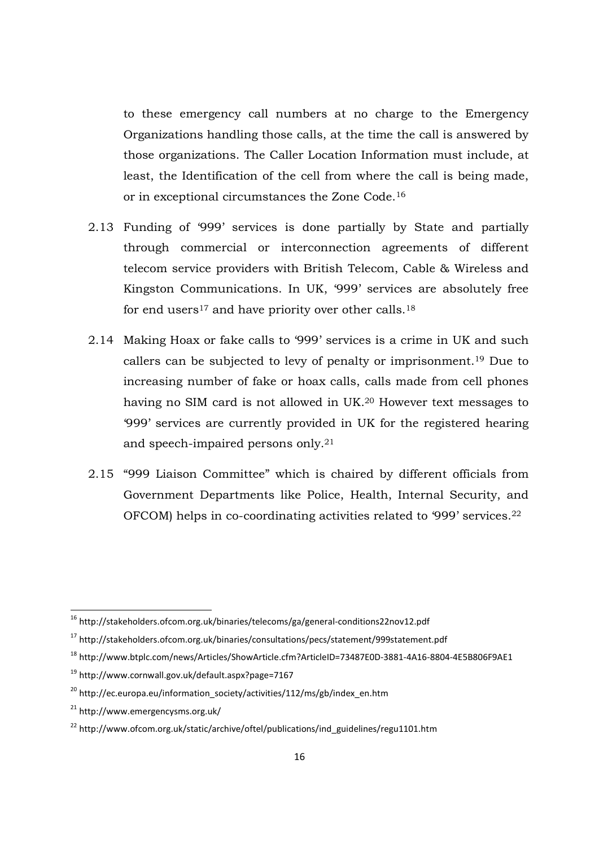to these emergency call numbers at no charge to the Emergency Organizations handling those calls, at the time the call is answered by those organizations. The Caller Location Information must include, at least, the Identification of the cell from where the call is being made, or in exceptional circumstances the Zone Code.<sup>16</sup>

- 2.13 Funding of '999' services is done partially by State and partially through commercial or interconnection agreements of different telecom service providers with British Telecom, Cable & Wireless and Kingston Communications. In UK, '999' services are absolutely free for end users<sup>17</sup> and have priority over other calls.<sup>18</sup>
- 2.14 Making Hoax or fake calls to '999' services is a crime in UK and such callers can be subjected to levy of penalty or imprisonment.<sup>19</sup> Due to increasing number of fake or hoax calls, calls made from cell phones having no SIM card is not allowed in UK.20 However text messages to '999' services are currently provided in UK for the registered hearing and speech-impaired persons only.<sup>21</sup>
- 2.15 "999 Liaison Committee" which is chaired by different officials from Government Departments like Police, Health, Internal Security, and OFCOM) helps in co-coordinating activities related to '999' services.<sup>22</sup>

<sup>18</sup> http://www.btplc.com/news/Articles/ShowArticle.cfm?ArticleID=73487E0D-3881-4A16-8804-4E5B806F9AE1

<sup>16</sup> http://stakeholders.ofcom.org.uk/binaries/telecoms/ga/general-conditions22nov12.pdf

<sup>17</sup> http://stakeholders.ofcom.org.uk/binaries/consultations/pecs/statement/999statement.pdf

<sup>19</sup> http://www.cornwall.gov.uk/default.aspx?page=7167

 $20$  http://ec.europa.eu/information\_society/activities/112/ms/gb/index\_en.htm

<sup>21</sup> http://www.emergencysms.org.uk/

<sup>&</sup>lt;sup>22</sup> http://www.ofcom.org.uk/static/archive/oftel/publications/ind\_guidelines/regu1101.htm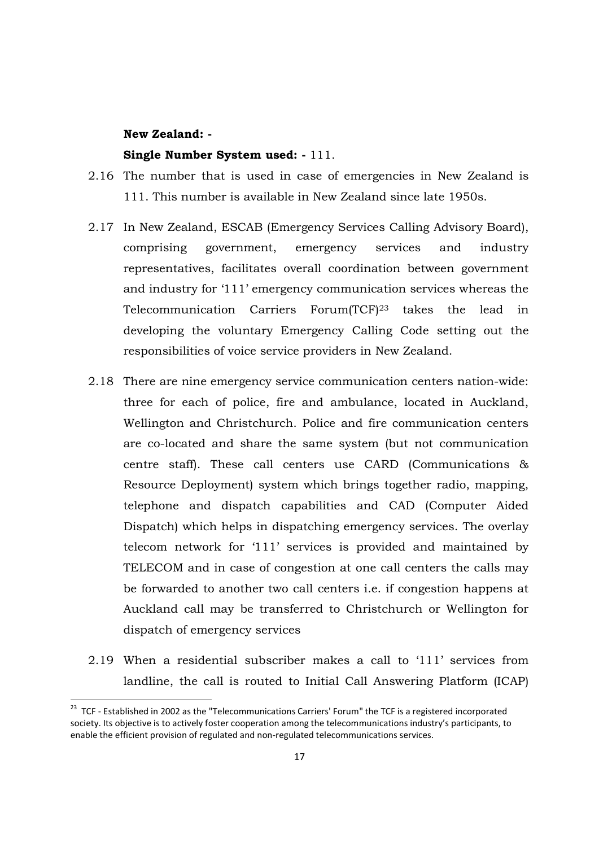#### **New Zealand: -**

<u>.</u>

#### **Single Number System used: -** 111.

- 2.16 The number that is used in case of emergencies in New Zealand is 111. This number is available in New Zealand since late 1950s.
- 2.17 In New Zealand, ESCAB (Emergency Services Calling Advisory Board), comprising government, emergency services and industry representatives, facilitates overall coordination between government and industry for '111' emergency communication services whereas the Telecommunication Carriers Forum(TCF)23 takes the lead in developing the voluntary Emergency Calling Code setting out the responsibilities of voice service providers in New Zealand.
- 2.18 There are nine emergency service communication centers nation-wide: three for each of police, fire and ambulance, located in Auckland, Wellington and Christchurch. Police and fire communication centers are co-located and share the same system (but not communication centre staff). These call centers use CARD (Communications & Resource Deployment) system which brings together radio, mapping, telephone and dispatch capabilities and CAD (Computer Aided Dispatch) which helps in dispatching emergency services. The overlay telecom network for '111' services is provided and maintained by TELECOM and in case of congestion at one call centers the calls may be forwarded to another two call centers i.e. if congestion happens at Auckland call may be transferred to Christchurch or Wellington for dispatch of emergency services
- 2.19 When a residential subscriber makes a call to '111' services from landline, the call is routed to Initial Call Answering Platform (ICAP)

<sup>&</sup>lt;sup>23</sup> TCF - Established in 2002 as the "Telecommunications Carriers' Forum" the TCF is a registered incorporated society. Its objective is to actively foster cooperation among the telecommunications industry's participants, to enable the efficient provision of regulated and non-regulated telecommunications services.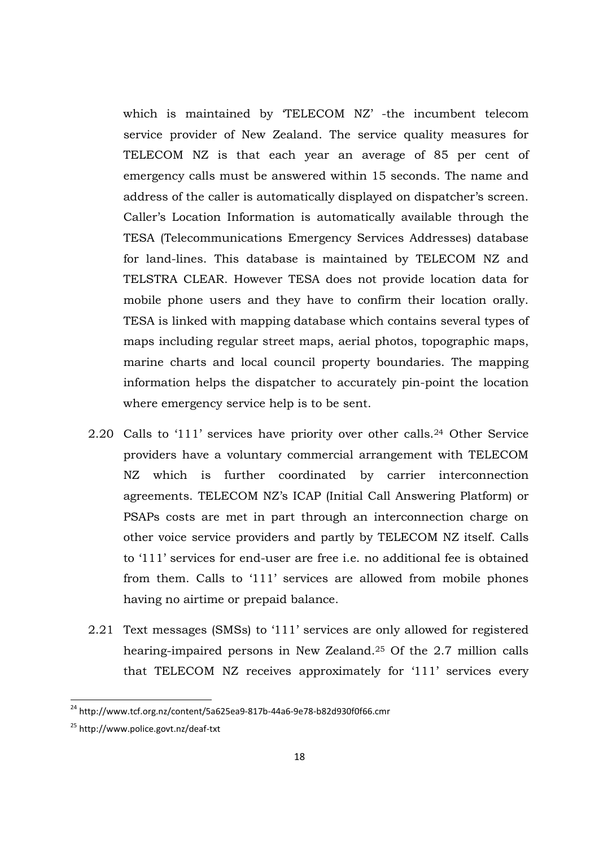which is maintained by 'TELECOM NZ' -the incumbent telecom service provider of New Zealand. The service quality measures for TELECOM NZ is that each year an average of 85 per cent of emergency calls must be answered within 15 seconds. The name and address of the caller is automatically displayed on dispatcher's screen. Caller's Location Information is automatically available through the TESA (Telecommunications Emergency Services Addresses) database for land-lines. This database is maintained by TELECOM NZ and TELSTRA CLEAR. However TESA does not provide location data for mobile phone users and they have to confirm their location orally. TESA is linked with mapping database which contains several types of maps including regular street maps, aerial photos, topographic maps, marine charts and local council property boundaries. The mapping information helps the dispatcher to accurately pin-point the location where emergency service help is to be sent.

- 2.20 Calls to '111' services have priority over other calls.24 Other Service providers have a voluntary commercial arrangement with TELECOM NZ which is further coordinated by carrier interconnection agreements. TELECOM NZ's ICAP (Initial Call Answering Platform) or PSAPs costs are met in part through an interconnection charge on other voice service providers and partly by TELECOM NZ itself. Calls to '111' services for end-user are free i.e. no additional fee is obtained from them. Calls to '111' services are allowed from mobile phones having no airtime or prepaid balance.
- 2.21 Text messages (SMSs) to '111' services are only allowed for registered hearing-impaired persons in New Zealand.25 Of the 2.7 million calls that TELECOM NZ receives approximately for '111' services every

<sup>&</sup>lt;sup>24</sup> http://www.tcf.org.nz/content/5a625ea9-817b-44a6-9e78-b82d930f0f66.cmr

<sup>25</sup> http://www.police.govt.nz/deaf-txt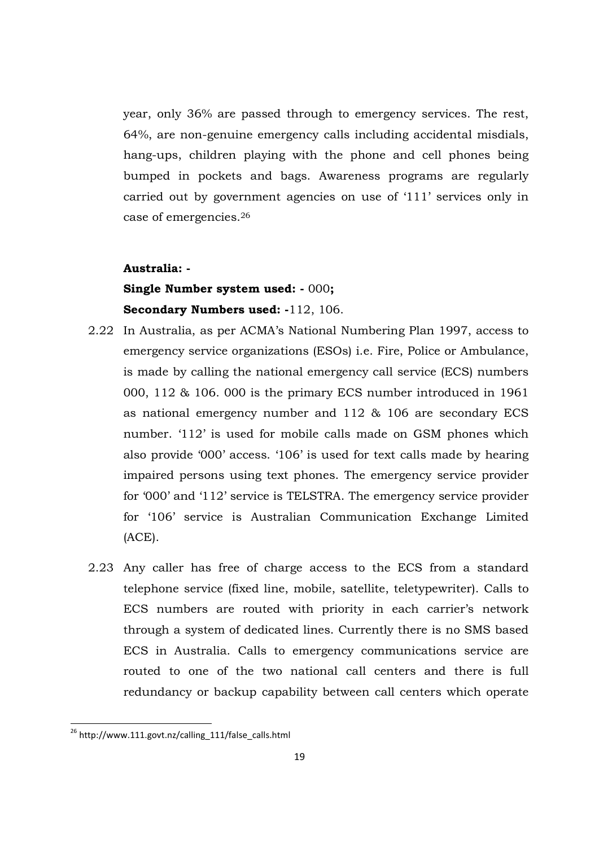year, only 36% are passed through to emergency services. The rest, 64%, are non-genuine emergency calls including accidental misdials, hang-ups, children playing with the phone and cell phones being bumped in pockets and bags. Awareness programs are regularly carried out by government agencies on use of '111' services only in case of emergencies.<sup>26</sup>

#### **Australia: -**

# **Single Number system used: -** 000**; Secondary Numbers used: -**112, 106.

- 2.22 In Australia, as per ACMA's National Numbering Plan 1997, access to emergency service organizations (ESOs) i.e. Fire, Police or Ambulance, is made by calling the national emergency call service (ECS) numbers 000, 112 & 106. 000 is the primary ECS number introduced in 1961 as national emergency number and 112 & 106 are secondary ECS number. '112' is used for mobile calls made on GSM phones which also provide '000' access. '106' is used for text calls made by hearing impaired persons using text phones. The emergency service provider for '000' and '112' service is TELSTRA. The emergency service provider for '106' service is Australian Communication Exchange Limited (ACE).
- 2.23 Any caller has free of charge access to the ECS from a standard telephone service (fixed line, mobile, satellite, teletypewriter). Calls to ECS numbers are routed with priority in each carrier's network through a system of dedicated lines. Currently there is no SMS based ECS in Australia. Calls to emergency communications service are routed to one of the two national call centers and there is full redundancy or backup capability between call centers which operate

 $^{26}$  http://www.111.govt.nz/calling\_111/false\_calls.html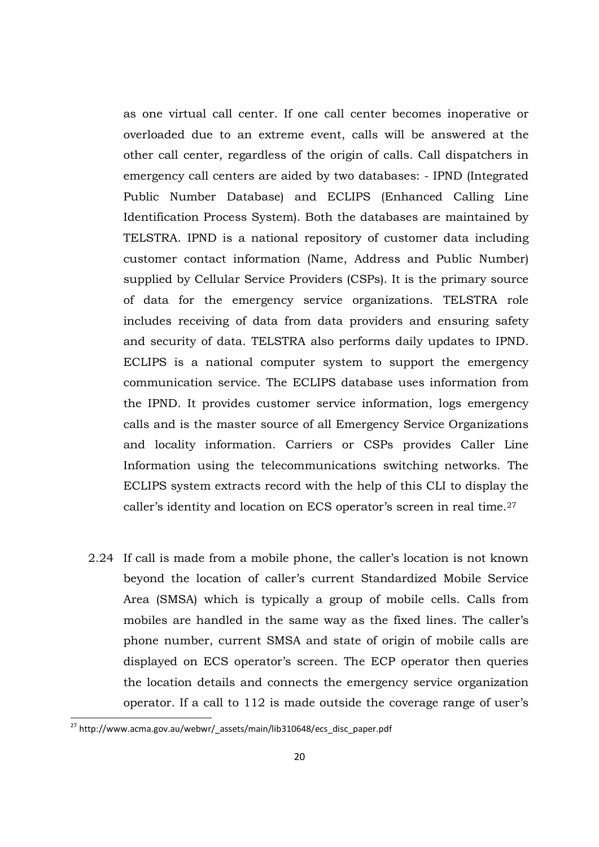as one virtual call center. If one call center becomes inoperative or overloaded due to an extreme event, calls will be answered at the other call center, regardless of the origin of calls. Call dispatchers in emergency call centers are aided by two databases: - IPND (Integrated Public Number Database) and ECLIPS (Enhanced Calling Line Identification Process System). Both the databases are maintained by TELSTRA. IPND is a national repository of customer data including customer contact information (Name, Address and Public Number) supplied by Cellular Service Providers (CSPs). It is the primary source of data for the emergency service organizations. TELSTRA role includes receiving of data from data providers and ensuring safety and security of data. TELSTRA also performs daily updates to IPND. ECLIPS is a national computer system to support the emergency communication service. The ECLIPS database uses information from the IPND. It provides customer service information, logs emergency calls and is the master source of all Emergency Service Organizations and locality information. Carriers or CSPs provides Caller Line Information using the telecommunications switching networks. The ECLIPS system extracts record with the help of this CLI to display the caller's identity and location on ECS operator's screen in real time.<sup>27</sup>

2.24 If call is made from a mobile phone, the caller's location is not known beyond the location of caller's current Standardized Mobile Service Area (SMSA) which is typically a group of mobile cells. Calls from mobiles are handled in the same way as the fixed lines. The caller's phone number, current SMSA and state of origin of mobile calls are displayed on ECS operator's screen. The ECP operator then queries the location details and connects the emergency service organization operator. If a call to 112 is made outside the coverage range of user's

.<br>-

<sup>&</sup>lt;sup>27</sup> http://www.acma.gov.au/webwr/\_assets/main/lib310648/ecs\_disc\_paper.pdf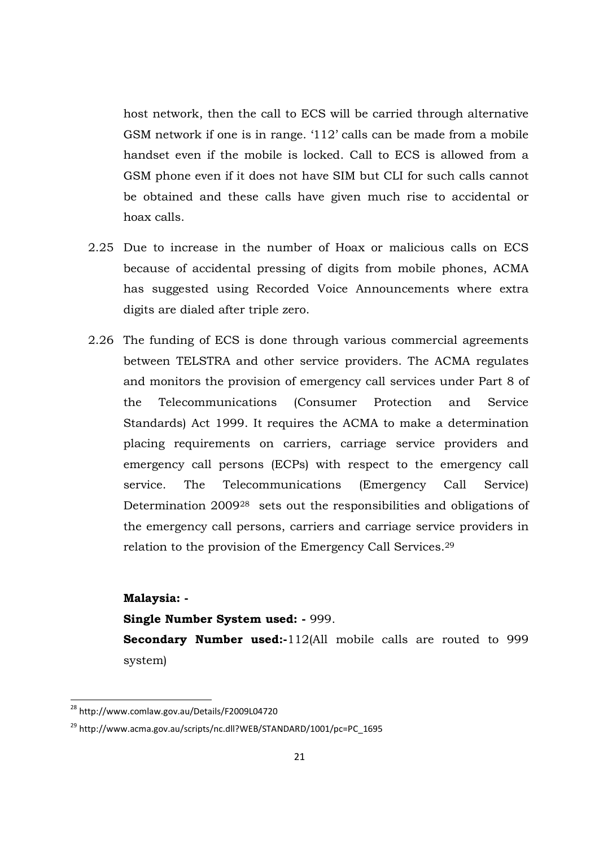host network, then the call to ECS will be carried through alternative GSM network if one is in range. '112' calls can be made from a mobile handset even if the mobile is locked. Call to ECS is allowed from a GSM phone even if it does not have SIM but CLI for such calls cannot be obtained and these calls have given much rise to accidental or hoax calls.

- 2.25 Due to increase in the number of Hoax or malicious calls on ECS because of accidental pressing of digits from mobile phones, ACMA has suggested using Recorded Voice Announcements where extra digits are dialed after triple zero.
- 2.26 The funding of ECS is done through various commercial agreements between TELSTRA and other service providers. The ACMA regulates and monitors the provision of emergency call services under Part 8 of the Telecommunications (Consumer Protection and Service Standards) Act 1999. It requires the ACMA to make a determination placing requirements on carriers, carriage service providers and emergency call persons (ECPs) with respect to the emergency call service. The Telecommunications (Emergency Call Service) Determination 2009<sup>28</sup> sets out the responsibilities and obligations of the emergency call persons, carriers and carriage service providers in relation to the provision of the Emergency Call Services.<sup>29</sup>

# **Malaysia: -**

<u>.</u>

#### **Single Number System used: -** 999.

**Secondary Number used:-**112(All mobile calls are routed to 999 system)

<sup>&</sup>lt;sup>28</sup> http://www.comlaw.gov.au/Details/F2009L04720

<sup>29</sup> http://www.acma.gov.au/scripts/nc.dll?WEB/STANDARD/1001/pc=PC\_1695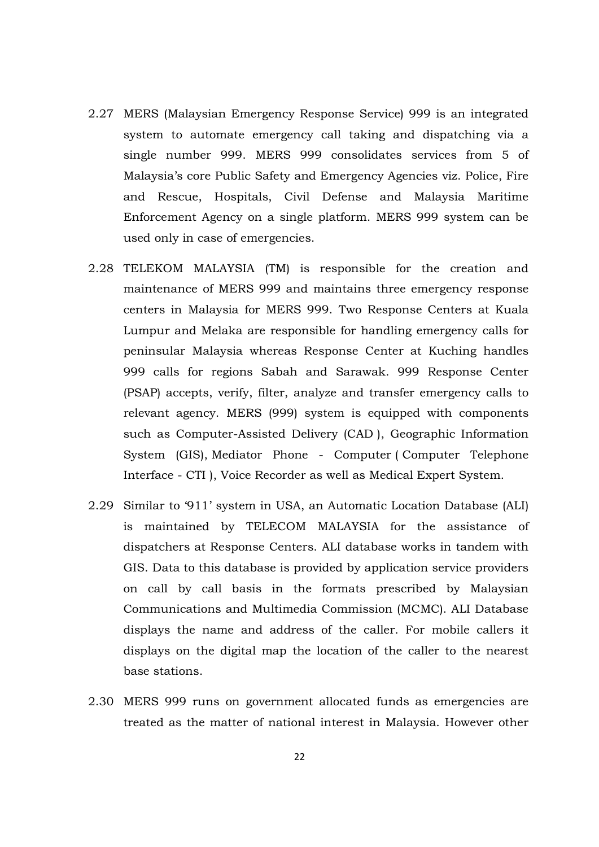- 2.27 MERS (Malaysian Emergency Response Service) 999 is an integrated system to automate emergency call taking and dispatching via a single number 999. MERS 999 consolidates services from 5 of Malaysia's core Public Safety and Emergency Agencies viz. Police, Fire and Rescue, Hospitals, Civil Defense and Malaysia Maritime Enforcement Agency on a single platform. MERS 999 system can be used only in case of emergencies.
- 2.28 TELEKOM MALAYSIA (TM) is responsible for the creation and maintenance of MERS 999 and maintains three emergency response centers in Malaysia for MERS 999. Two Response Centers at Kuala Lumpur and Melaka are responsible for handling emergency calls for peninsular Malaysia whereas Response Center at Kuching handles 999 calls for regions Sabah and Sarawak. 999 Response Center (PSAP) accepts, verify, filter, analyze and transfer emergency calls to relevant agency. MERS (999) system is equipped with components such as Computer-Assisted Delivery (CAD ), Geographic Information System (GIS), Mediator Phone - Computer ( Computer Telephone Interface - CTI ), Voice Recorder as well as Medical Expert System.
- 2.29 Similar to '911' system in USA, an Automatic Location Database (ALI) is maintained by TELECOM MALAYSIA for the assistance of dispatchers at Response Centers. ALI database works in tandem with GIS. Data to this database is provided by application service providers on call by call basis in the formats prescribed by Malaysian Communications and Multimedia Commission (MCMC). ALI Database displays the name and address of the caller. For mobile callers it displays on the digital map the location of the caller to the nearest base stations.
- 2.30 MERS 999 runs on government allocated funds as emergencies are treated as the matter of national interest in Malaysia. However other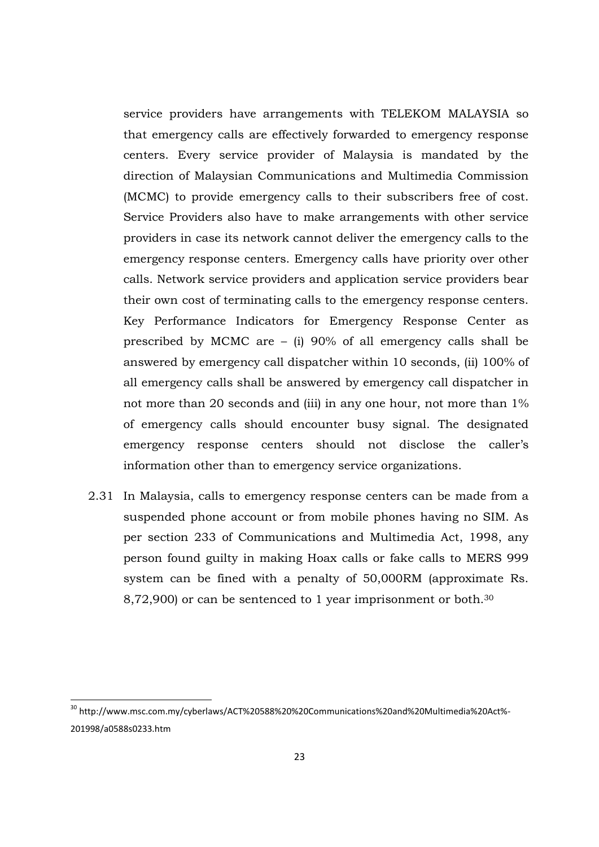service providers have arrangements with TELEKOM MALAYSIA so that emergency calls are effectively forwarded to emergency response centers. Every service provider of Malaysia is mandated by the direction of Malaysian Communications and Multimedia Commission (MCMC) to provide emergency calls to their subscribers free of cost. Service Providers also have to make arrangements with other service providers in case its network cannot deliver the emergency calls to the emergency response centers. Emergency calls have priority over other calls. Network service providers and application service providers bear their own cost of terminating calls to the emergency response centers. Key Performance Indicators for Emergency Response Center as prescribed by MCMC are – (i) 90% of all emergency calls shall be answered by emergency call dispatcher within 10 seconds, (ii) 100% of all emergency calls shall be answered by emergency call dispatcher in not more than 20 seconds and (iii) in any one hour, not more than 1% of emergency calls should encounter busy signal. The designated emergency response centers should not disclose the caller's information other than to emergency service organizations.

2.31 In Malaysia, calls to emergency response centers can be made from a suspended phone account or from mobile phones having no SIM. As per section 233 of Communications and Multimedia Act, 1998, any person found guilty in making Hoax calls or fake calls to MERS 999 system can be fined with a penalty of 50,000RM (approximate Rs. 8,72,900) or can be sentenced to 1 year imprisonment or both.<sup>30</sup>

<sup>&</sup>lt;sup>30</sup> http://www.msc.com.my/cyberlaws/ACT%20588%20%20Communications%20and%20Multimedia%20Act%-201998/a0588s0233.htm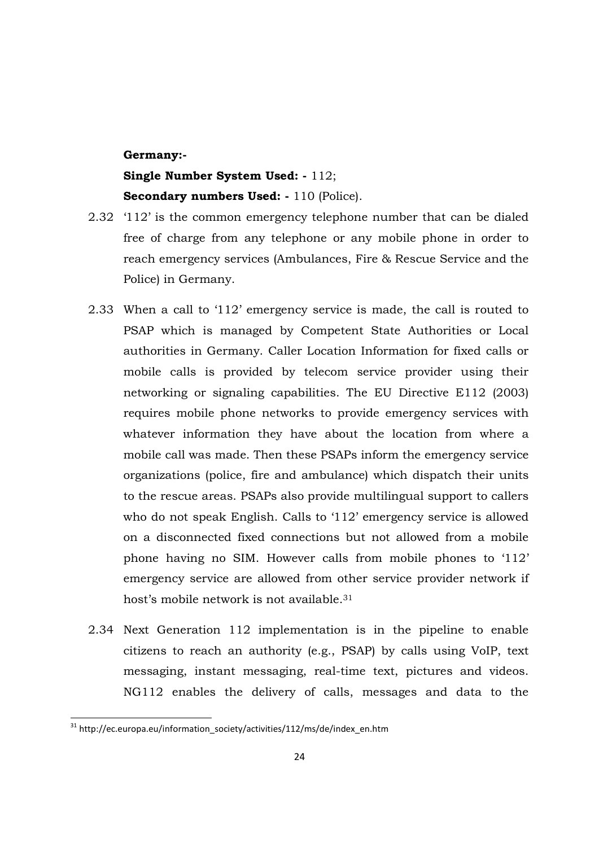#### **Germany:-**

# **Single Number System Used: -** 112; **Secondary numbers Used: -** 110 (Police).

- 2.32 '112' is the common emergency telephone number that can be dialed free of charge from any telephone or any mobile phone in order to reach emergency services (Ambulances, Fire & Rescue Service and the Police) in Germany.
- 2.33 When a call to '112' emergency service is made, the call is routed to PSAP which is managed by Competent State Authorities or Local authorities in Germany. Caller Location Information for fixed calls or mobile calls is provided by telecom service provider using their networking or signaling capabilities. The EU Directive E112 (2003) requires mobile phone networks to provide emergency services with whatever information they have about the location from where a mobile call was made. Then these PSAPs inform the emergency service organizations (police, fire and ambulance) which dispatch their units to the rescue areas. PSAPs also provide multilingual support to callers who do not speak English. Calls to '112' emergency service is allowed on a disconnected fixed connections but not allowed from a mobile phone having no SIM. However calls from mobile phones to '112' emergency service are allowed from other service provider network if host's mobile network is not available.<sup>31</sup>
- 2.34 Next Generation 112 implementation is in the pipeline to enable citizens to reach an authority (e.g., PSAP) by calls using VoIP, text messaging, instant messaging, real-time text, pictures and videos. NG112 enables the delivery of calls, messages and data to the

.<br>-

<sup>&</sup>lt;sup>31</sup> http://ec.europa.eu/information\_society/activities/112/ms/de/index\_en.htm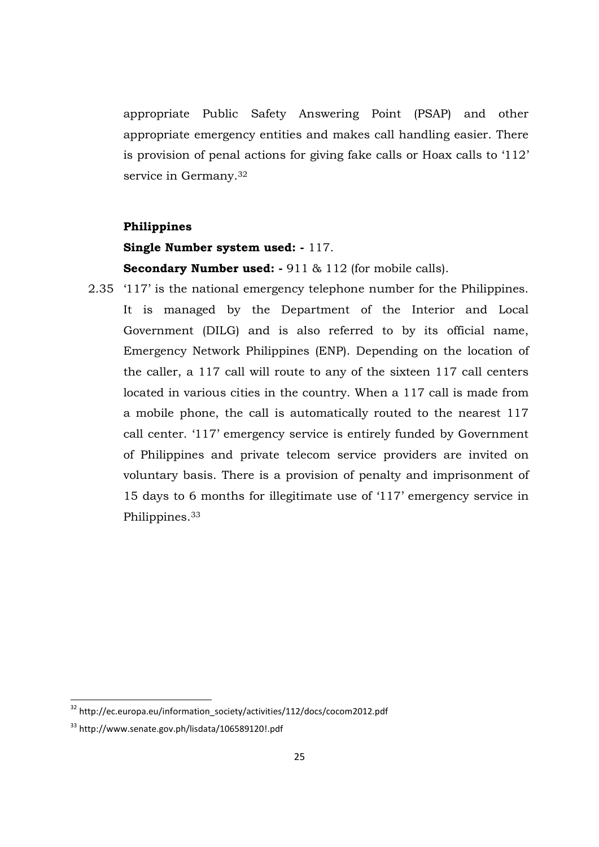appropriate Public Safety Answering Point (PSAP) and other appropriate emergency entities and makes call handling easier. There is provision of penal actions for giving fake calls or Hoax calls to '112' service in Germany.<sup>32</sup>

#### **Philippines**

### **Single Number system used: -** 117.

**Secondary Number used: -** 911 & 112 (for mobile calls).

2.35 '117' is the national emergency telephone number for the Philippines. It is managed by the Department of the Interior and Local Government (DILG) and is also referred to by its official name, Emergency Network Philippines (ENP). Depending on the location of the caller, a 117 call will route to any of the sixteen 117 call centers located in various cities in the country. When a 117 call is made from a mobile phone, the call is automatically routed to the nearest 117 call center. '117' emergency service is entirely funded by Government of Philippines and private telecom service providers are invited on voluntary basis. There is a provision of penalty and imprisonment of 15 days to 6 months for illegitimate use of '117' emergency service in Philippines.<sup>33</sup>

<sup>&</sup>lt;sup>32</sup> http://ec.europa.eu/information\_society/activities/112/docs/cocom2012.pdf

<sup>33</sup> http://www.senate.gov.ph/lisdata/106589120!.pdf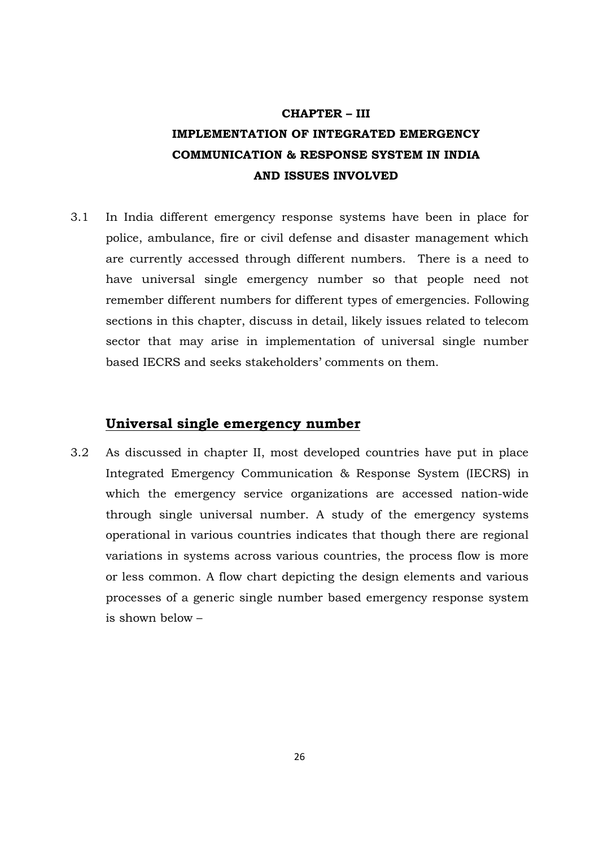# **CHAPTER – III IMPLEMENTATION OF INTEGRATED EMERGENCY COMMUNICATION & RESPONSE SYSTEM IN INDIA AND ISSUES INVOLVED**

3.1 In India different emergency response systems have been in place for police, ambulance, fire or civil defense and disaster management which are currently accessed through different numbers. There is a need to have universal single emergency number so that people need not remember different numbers for different types of emergencies. Following sections in this chapter, discuss in detail, likely issues related to telecom sector that may arise in implementation of universal single number based IECRS and seeks stakeholders' comments on them.

# **Universal single emergency number**

3.2 As discussed in chapter II, most developed countries have put in place Integrated Emergency Communication & Response System (IECRS) in which the emergency service organizations are accessed nation-wide through single universal number. A study of the emergency systems operational in various countries indicates that though there are regional variations in systems across various countries, the process flow is more or less common. A flow chart depicting the design elements and various processes of a generic single number based emergency response system is shown below –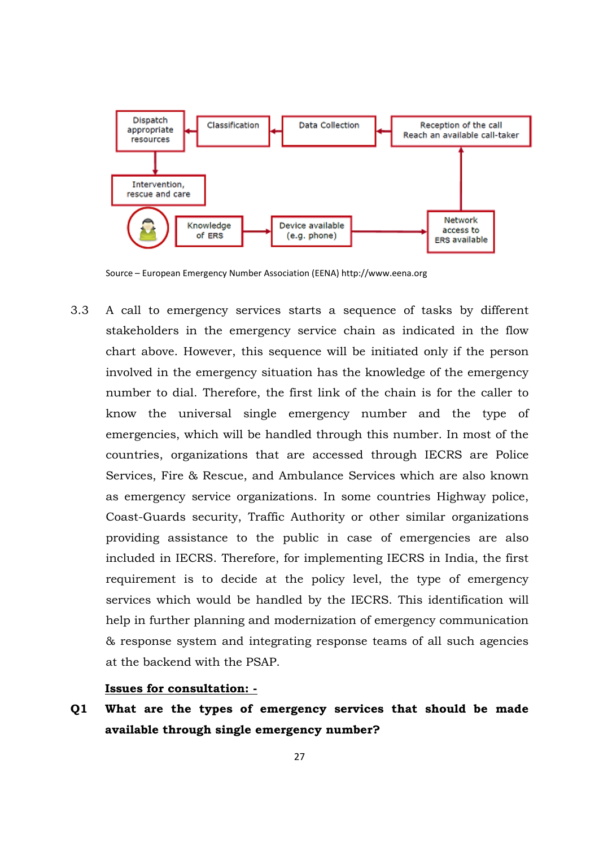

Source – European Emergency Number Association (EENA) http://www.eena.org

3.3 A call to emergency services starts a sequence of tasks by different stakeholders in the emergency service chain as indicated in the flow chart above. However, this sequence will be initiated only if the person involved in the emergency situation has the knowledge of the emergency number to dial. Therefore, the first link of the chain is for the caller to know the universal single emergency number and the type of emergencies, which will be handled through this number. In most of the countries, organizations that are accessed through IECRS are Police Services, Fire & Rescue, and Ambulance Services which are also known as emergency service organizations. In some countries Highway police, Coast-Guards security, Traffic Authority or other similar organizations providing assistance to the public in case of emergencies are also included in IECRS. Therefore, for implementing IECRS in India, the first requirement is to decide at the policy level, the type of emergency services which would be handled by the IECRS. This identification will help in further planning and modernization of emergency communication & response system and integrating response teams of all such agencies at the backend with the PSAP.

#### **Issues for consultation: -**

**Q1 What are the types of emergency services that should be made available through single emergency number?**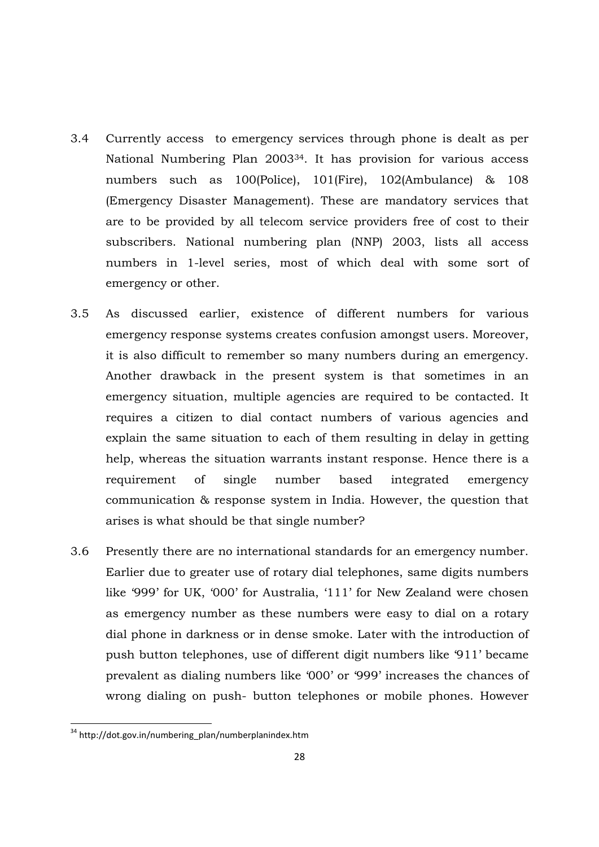- 3.4 Currently access to emergency services through phone is dealt as per National Numbering Plan 200334. It has provision for various access numbers such as 100(Police), 101(Fire), 102(Ambulance) & 108 (Emergency Disaster Management). These are mandatory services that are to be provided by all telecom service providers free of cost to their subscribers. National numbering plan (NNP) 2003, lists all access numbers in 1-level series, most of which deal with some sort of emergency or other.
- 3.5 As discussed earlier, existence of different numbers for various emergency response systems creates confusion amongst users. Moreover, it is also difficult to remember so many numbers during an emergency. Another drawback in the present system is that sometimes in an emergency situation, multiple agencies are required to be contacted. It requires a citizen to dial contact numbers of various agencies and explain the same situation to each of them resulting in delay in getting help, whereas the situation warrants instant response. Hence there is a requirement of single number based integrated emergency communication & response system in India. However, the question that arises is what should be that single number?
- 3.6 Presently there are no international standards for an emergency number. Earlier due to greater use of rotary dial telephones, same digits numbers like '999' for UK, '000' for Australia, '111' for New Zealand were chosen as emergency number as these numbers were easy to dial on a rotary dial phone in darkness or in dense smoke. Later with the introduction of push button telephones, use of different digit numbers like '911' became prevalent as dialing numbers like '000' or '999' increases the chances of wrong dialing on push- button telephones or mobile phones. However

<sup>&</sup>lt;sup>34</sup> http://dot.gov.in/numbering\_plan/numberplanindex.htm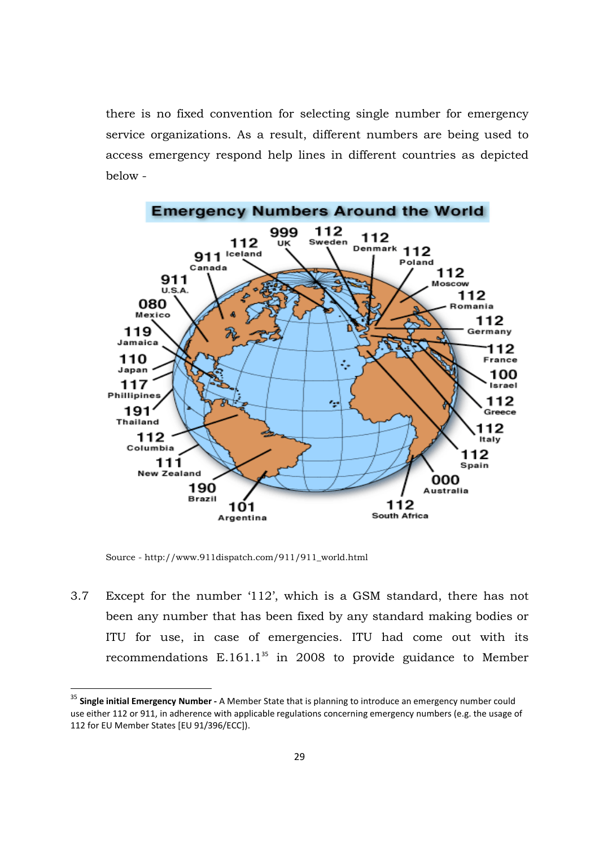there is no fixed convention for selecting single number for emergency service organizations. As a result, different numbers are being used to access emergency respond help lines in different countries as depicted below -



Source - http://www.911dispatch.com/911/911\_world.html

.<br>-

3.7 Except for the number '112', which is a GSM standard, there has not been any number that has been fixed by any standard making bodies or ITU for use, in case of emergencies. ITU had come out with its recommendations  $E.161.1^{35}$  in 2008 to provide guidance to Member

<sup>35</sup> **Single initial Emergency Number -** A Member State that is planning to introduce an emergency number could use either 112 or 911, in adherence with applicable regulations concerning emergency numbers (e.g. the usage of 112 for EU Member States [EU 91/396/ECC]).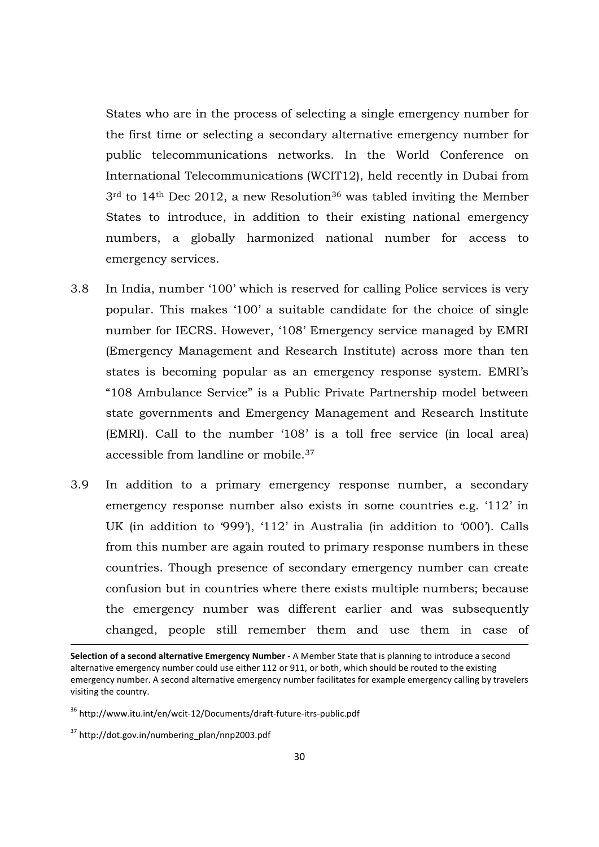States who are in the process of selecting a single emergency number for the first time or selecting a secondary alternative emergency number for public telecommunications networks. In the World Conference on International Telecommunications (WCIT12), held recently in Dubai from  $3<sup>rd</sup>$  to 14<sup>th</sup> Dec 2012, a new Resolution<sup>36</sup> was tabled inviting the Member States to introduce, in addition to their existing national emergency numbers, a globally harmonized national number for access to emergency services.

- 3.8 In India, number '100' which is reserved for calling Police services is very popular. This makes '100' a suitable candidate for the choice of single number for IECRS. However, '108' Emergency service managed by EMRI (Emergency Management and Research Institute) across more than ten states is becoming popular as an emergency response system. EMRI's "108 Ambulance Service" is a Public Private Partnership model between state governments and Emergency Management and Research Institute (EMRI). Call to the number '108' is a toll free service (in local area) accessible from landline or mobile.<sup>37</sup>
- 3.9 In addition to a primary emergency response number, a secondary emergency response number also exists in some countries e.g. '112' in UK (in addition to '999'), '112' in Australia (in addition to '000'). Calls from this number are again routed to primary response numbers in these countries. Though presence of secondary emergency number can create confusion but in countries where there exists multiple numbers; because the emergency number was different earlier and was subsequently changed, people still remember them and use them in case of

**Selection of a second alternative Emergency Number -** A Member State that is planning to introduce a second alternative emergency number could use either 112 or 911, or both, which should be routed to the existing emergency number. A second alternative emergency number facilitates for example emergency calling by travelers visiting the country.

<sup>36</sup> http://www.itu.int/en/wcit-12/Documents/draft-future-itrs-public.pdf

 $37$  http://dot.gov.in/numbering\_plan/nnp2003.pdf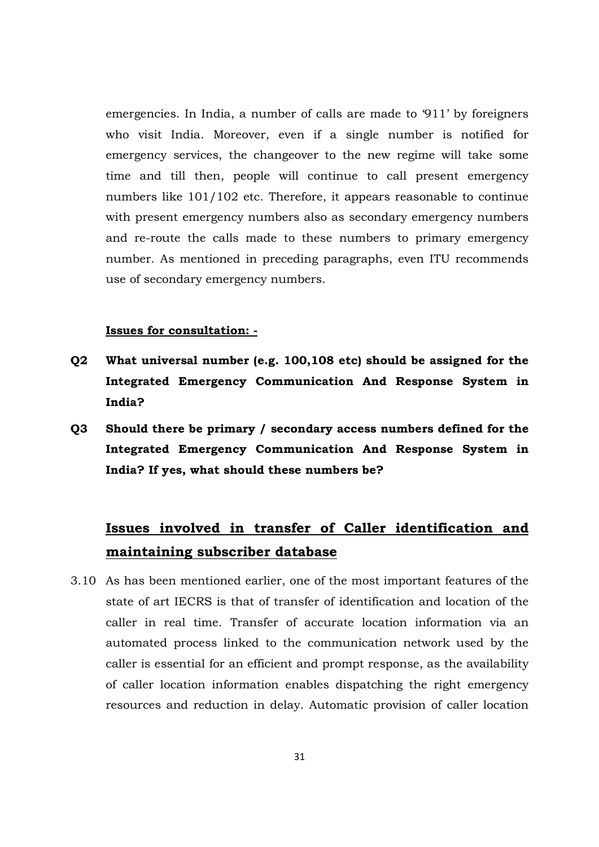emergencies. In India, a number of calls are made to '911' by foreigners who visit India. Moreover, even if a single number is notified for emergency services, the changeover to the new regime will take some time and till then, people will continue to call present emergency numbers like 101/102 etc. Therefore, it appears reasonable to continue with present emergency numbers also as secondary emergency numbers and re-route the calls made to these numbers to primary emergency number. As mentioned in preceding paragraphs, even ITU recommends use of secondary emergency numbers.

#### **Issues for consultation: -**

- **Q2 What universal number (e.g. 100,108 etc) should be assigned for the Integrated Emergency Communication And Response System in India?**
- **Q3 Should there be primary / secondary access numbers defined for the Integrated Emergency Communication And Response System in India? If yes, what should these numbers be?**

# **Issues involved in transfer of Caller identification and maintaining subscriber database**

3.10 As has been mentioned earlier, one of the most important features of the state of art IECRS is that of transfer of identification and location of the caller in real time. Transfer of accurate location information via an automated process linked to the communication network used by the caller is essential for an efficient and prompt response, as the availability of caller location information enables dispatching the right emergency resources and reduction in delay. Automatic provision of caller location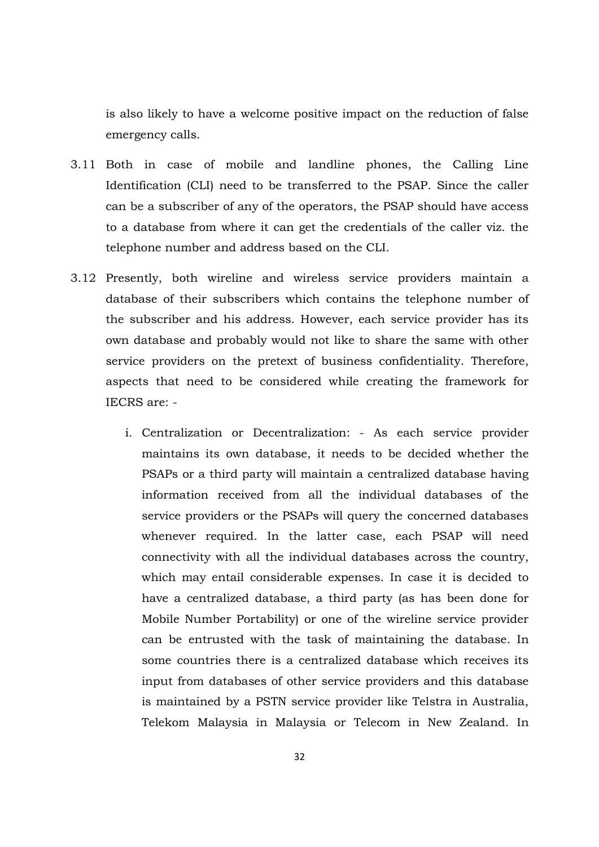is also likely to have a welcome positive impact on the reduction of false emergency calls.

- 3.11 Both in case of mobile and landline phones, the Calling Line Identification (CLI) need to be transferred to the PSAP. Since the caller can be a subscriber of any of the operators, the PSAP should have access to a database from where it can get the credentials of the caller viz. the telephone number and address based on the CLI.
- 3.12 Presently, both wireline and wireless service providers maintain a database of their subscribers which contains the telephone number of the subscriber and his address. However, each service provider has its own database and probably would not like to share the same with other service providers on the pretext of business confidentiality. Therefore, aspects that need to be considered while creating the framework for IECRS are:
	- i. Centralization or Decentralization: As each service provider maintains its own database, it needs to be decided whether the PSAPs or a third party will maintain a centralized database having information received from all the individual databases of the service providers or the PSAPs will query the concerned databases whenever required. In the latter case, each PSAP will need connectivity with all the individual databases across the country, which may entail considerable expenses. In case it is decided to have a centralized database, a third party (as has been done for Mobile Number Portability) or one of the wireline service provider can be entrusted with the task of maintaining the database. In some countries there is a centralized database which receives its input from databases of other service providers and this database is maintained by a PSTN service provider like Telstra in Australia, Telekom Malaysia in Malaysia or Telecom in New Zealand. In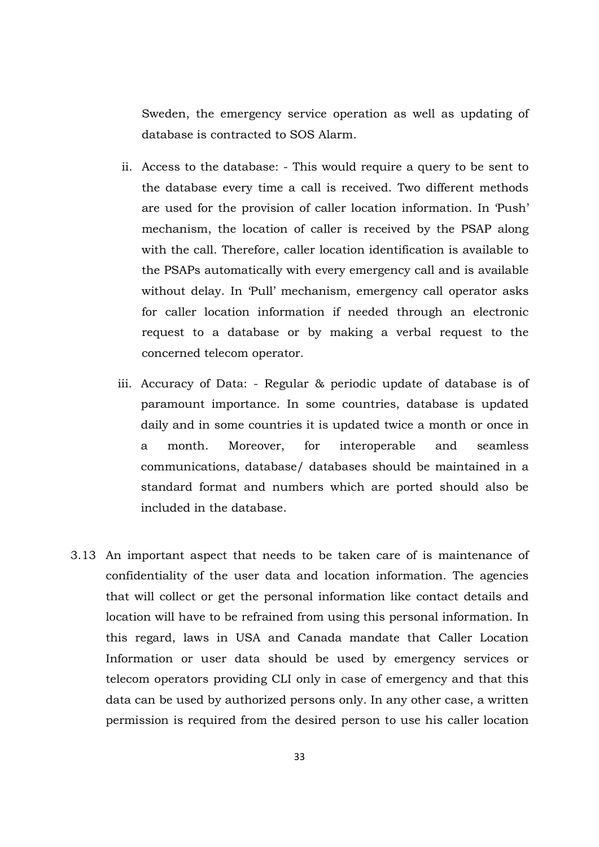Sweden, the emergency service operation as well as updating of database is contracted to SOS Alarm.

- ii. Access to the database: This would require a query to be sent to the database every time a call is received. Two different methods are used for the provision of caller location information. In 'Push' mechanism, the location of caller is received by the PSAP along with the call. Therefore, caller location identification is available to the PSAPs automatically with every emergency call and is available without delay. In 'Pull' mechanism, emergency call operator asks for caller location information if needed through an electronic request to a database or by making a verbal request to the concerned telecom operator.
- iii. Accuracy of Data: Regular & periodic update of database is of paramount importance. In some countries, database is updated daily and in some countries it is updated twice a month or once in a month. Moreover, for interoperable and seamless communications, database/ databases should be maintained in a standard format and numbers which are ported should also be included in the database.
- 3.13 An important aspect that needs to be taken care of is maintenance of confidentiality of the user data and location information. The agencies that will collect or get the personal information like contact details and location will have to be refrained from using this personal information. In this regard, laws in USA and Canada mandate that Caller Location Information or user data should be used by emergency services or telecom operators providing CLI only in case of emergency and that this data can be used by authorized persons only. In any other case, a written permission is required from the desired person to use his caller location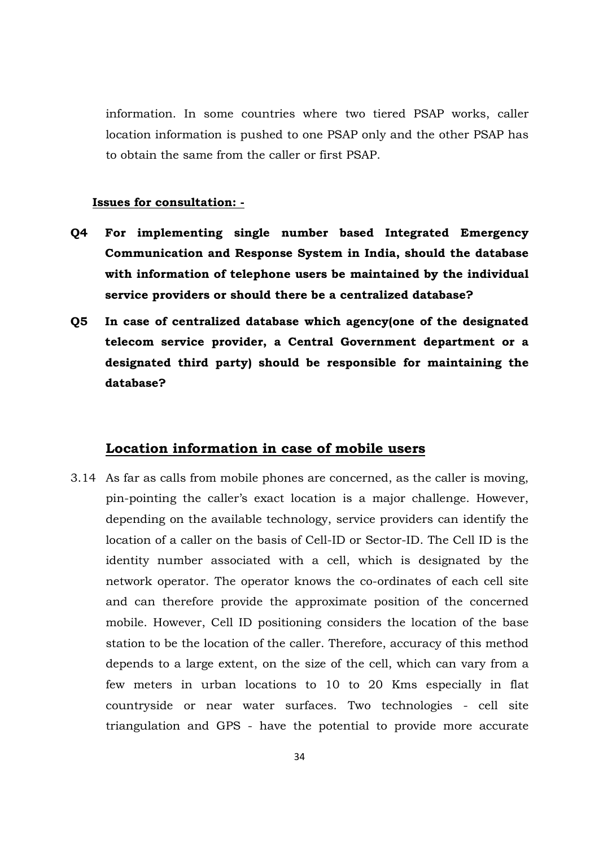information. In some countries where two tiered PSAP works, caller location information is pushed to one PSAP only and the other PSAP has to obtain the same from the caller or first PSAP.

### **Issues for consultation: -**

- **Q4 For implementing single number based Integrated Emergency Communication and Response System in India, should the database with information of telephone users be maintained by the individual service providers or should there be a centralized database?**
- **Q5 In case of centralized database which agency(one of the designated telecom service provider, a Central Government department or a designated third party) should be responsible for maintaining the database?**

# **Location information in case of mobile users**

3.14 As far as calls from mobile phones are concerned, as the caller is moving, pin-pointing the caller's exact location is a major challenge. However, depending on the available technology, service providers can identify the location of a caller on the basis of Cell-ID or Sector-ID. The Cell ID is the identity number associated with a cell, which is designated by the network operator. The operator knows the co-ordinates of each cell site and can therefore provide the approximate position of the concerned mobile. However, Cell ID positioning considers the location of the base station to be the location of the caller. Therefore, accuracy of this method depends to a large extent, on the size of the cell, which can vary from a few meters in urban locations to 10 to 20 Kms especially in flat countryside or near water surfaces. Two technologies - cell site triangulation and GPS - have the potential to provide more accurate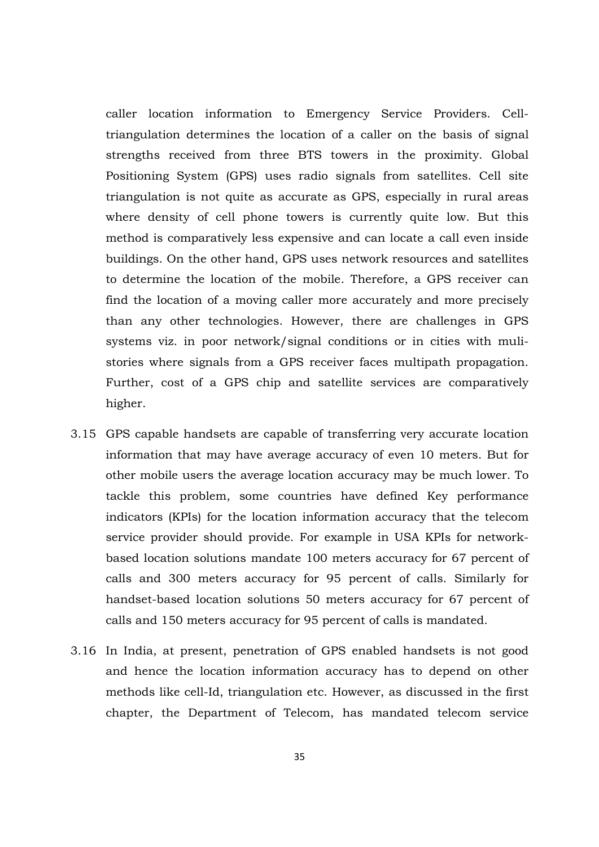caller location information to Emergency Service Providers. Celltriangulation determines the location of a caller on the basis of signal strengths received from three BTS towers in the proximity. Global Positioning System (GPS) uses radio signals from satellites. Cell site triangulation is not quite as accurate as GPS, especially in rural areas where density of cell phone towers is currently quite low. But this method is comparatively less expensive and can locate a call even inside buildings. On the other hand, GPS uses network resources and satellites to determine the location of the mobile. Therefore, a GPS receiver can find the location of a moving caller more accurately and more precisely than any other technologies. However, there are challenges in GPS systems viz. in poor network/signal conditions or in cities with mulistories where signals from a GPS receiver faces multipath propagation. Further, cost of a GPS chip and satellite services are comparatively higher.

- 3.15 GPS capable handsets are capable of transferring very accurate location information that may have average accuracy of even 10 meters. But for other mobile users the average location accuracy may be much lower. To tackle this problem, some countries have defined Key performance indicators (KPIs) for the location information accuracy that the telecom service provider should provide. For example in USA KPIs for networkbased location solutions mandate 100 meters accuracy for 67 percent of calls and 300 meters accuracy for 95 percent of calls. Similarly for handset-based location solutions 50 meters accuracy for 67 percent of calls and 150 meters accuracy for 95 percent of calls is mandated.
- 3.16 In India, at present, penetration of GPS enabled handsets is not good and hence the location information accuracy has to depend on other methods like cell-Id, triangulation etc. However, as discussed in the first chapter, the Department of Telecom, has mandated telecom service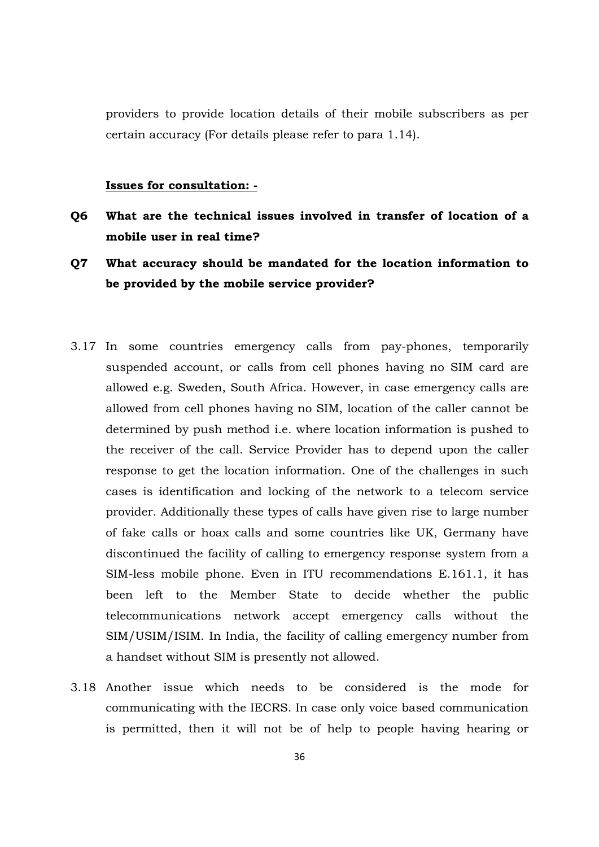providers to provide location details of their mobile subscribers as per certain accuracy (For details please refer to para 1.14).

#### **Issues for consultation: -**

- **Q6 What are the technical issues involved in transfer of location of a mobile user in real time?**
- **Q7 What accuracy should be mandated for the location information to be provided by the mobile service provider?**
- 3.17 In some countries emergency calls from pay-phones, temporarily suspended account, or calls from cell phones having no SIM card are allowed e.g. Sweden, South Africa. However, in case emergency calls are allowed from cell phones having no SIM, location of the caller cannot be determined by push method i.e. where location information is pushed to the receiver of the call. Service Provider has to depend upon the caller response to get the location information. One of the challenges in such cases is identification and locking of the network to a telecom service provider. Additionally these types of calls have given rise to large number of fake calls or hoax calls and some countries like UK, Germany have discontinued the facility of calling to emergency response system from a SIM-less mobile phone. Even in ITU recommendations E.161.1, it has been left to the Member State to decide whether the public telecommunications network accept emergency calls without the SIM/USIM/ISIM. In India, the facility of calling emergency number from a handset without SIM is presently not allowed.
- 3.18 Another issue which needs to be considered is the mode for communicating with the IECRS. In case only voice based communication is permitted, then it will not be of help to people having hearing or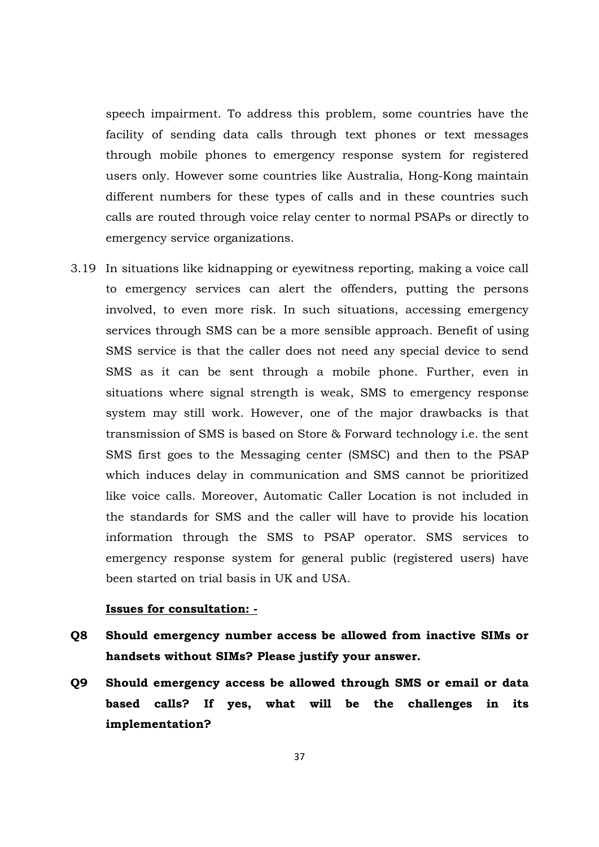speech impairment. To address this problem, some countries have the facility of sending data calls through text phones or text messages through mobile phones to emergency response system for registered users only. However some countries like Australia, Hong-Kong maintain different numbers for these types of calls and in these countries such calls are routed through voice relay center to normal PSAPs or directly to emergency service organizations.

3.19 In situations like kidnapping or eyewitness reporting, making a voice call to emergency services can alert the offenders, putting the persons involved, to even more risk. In such situations, accessing emergency services through SMS can be a more sensible approach. Benefit of using SMS service is that the caller does not need any special device to send SMS as it can be sent through a mobile phone. Further, even in situations where signal strength is weak, SMS to emergency response system may still work. However, one of the major drawbacks is that transmission of SMS is based on Store & Forward technology i.e. the sent SMS first goes to the Messaging center (SMSC) and then to the PSAP which induces delay in communication and SMS cannot be prioritized like voice calls. Moreover, Automatic Caller Location is not included in the standards for SMS and the caller will have to provide his location information through the SMS to PSAP operator. SMS services to emergency response system for general public (registered users) have been started on trial basis in UK and USA.

#### **Issues for consultation: -**

- **Q8 Should emergency number access be allowed from inactive SIMs or handsets without SIMs? Please justify your answer.**
- **Q9 Should emergency access be allowed through SMS or email or data based calls? If yes, what will be the challenges in its implementation?**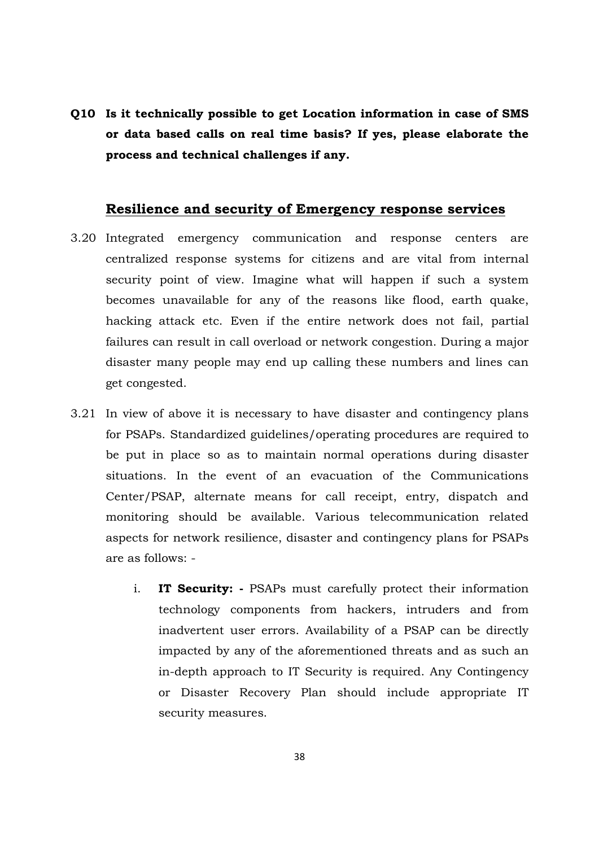**Q10 Is it technically possible to get Location information in case of SMS or data based calls on real time basis? If yes, please elaborate the process and technical challenges if any.**

# **Resilience and security of Emergency response services**

- 3.20 Integrated emergency communication and response centers are centralized response systems for citizens and are vital from internal security point of view. Imagine what will happen if such a system becomes unavailable for any of the reasons like flood, earth quake, hacking attack etc. Even if the entire network does not fail, partial failures can result in call overload or network congestion. During a major disaster many people may end up calling these numbers and lines can get congested.
- 3.21 In view of above it is necessary to have disaster and contingency plans for PSAPs. Standardized guidelines/operating procedures are required to be put in place so as to maintain normal operations during disaster situations. In the event of an evacuation of the Communications Center/PSAP, alternate means for call receipt, entry, dispatch and monitoring should be available. Various telecommunication related aspects for network resilience, disaster and contingency plans for PSAPs are as follows:
	- i. **IT Security:** PSAPs must carefully protect their information technology components from hackers, intruders and from inadvertent user errors. Availability of a PSAP can be directly impacted by any of the aforementioned threats and as such an in-depth approach to IT Security is required. Any Contingency or Disaster Recovery Plan should include appropriate IT security measures.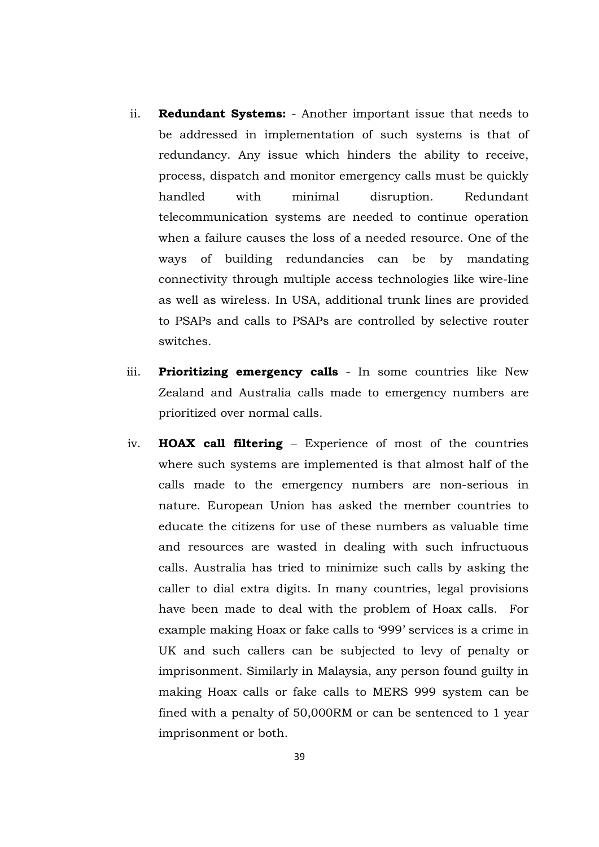- ii. **Redundant Systems:** Another important issue that needs to be addressed in implementation of such systems is that of redundancy. Any issue which hinders the ability to receive, process, dispatch and monitor emergency calls must be quickly handled with minimal disruption. Redundant telecommunication systems are needed to continue operation when a failure causes the loss of a needed resource. One of the ways of building redundancies can be by mandating connectivity through multiple access technologies like wire-line as well as wireless. In USA, additional trunk lines are provided to PSAPs and calls to PSAPs are controlled by selective router switches.
- iii. **Prioritizing emergency calls** In some countries like New Zealand and Australia calls made to emergency numbers are prioritized over normal calls.
- iv. **HOAX call filtering**  Experience of most of the countries where such systems are implemented is that almost half of the calls made to the emergency numbers are non-serious in nature. European Union has asked the member countries to educate the citizens for use of these numbers as valuable time and resources are wasted in dealing with such infructuous calls. Australia has tried to minimize such calls by asking the caller to dial extra digits. In many countries, legal provisions have been made to deal with the problem of Hoax calls. For example making Hoax or fake calls to '999' services is a crime in UK and such callers can be subjected to levy of penalty or imprisonment. Similarly in Malaysia, any person found guilty in making Hoax calls or fake calls to MERS 999 system can be fined with a penalty of 50,000RM or can be sentenced to 1 year imprisonment or both.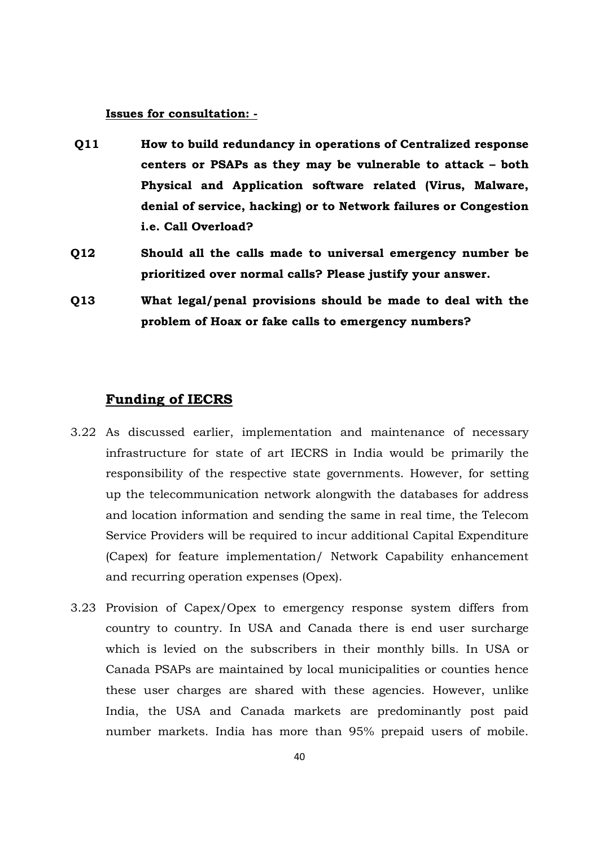#### **Issues for consultation: -**

- **Q11 How to build redundancy in operations of Centralized response centers or PSAPs as they may be vulnerable to attack – both Physical and Application software related (Virus, Malware, denial of service, hacking) or to Network failures or Congestion i.e. Call Overload?**
- **Q12 Should all the calls made to universal emergency number be prioritized over normal calls? Please justify your answer.**
- **Q13 What legal/penal provisions should be made to deal with the problem of Hoax or fake calls to emergency numbers?**

## **Funding of IECRS**

- 3.22 As discussed earlier, implementation and maintenance of necessary infrastructure for state of art IECRS in India would be primarily the responsibility of the respective state governments. However, for setting up the telecommunication network alongwith the databases for address and location information and sending the same in real time, the Telecom Service Providers will be required to incur additional Capital Expenditure (Capex) for feature implementation/ Network Capability enhancement and recurring operation expenses (Opex).
- 3.23 Provision of Capex/Opex to emergency response system differs from country to country. In USA and Canada there is end user surcharge which is levied on the subscribers in their monthly bills. In USA or Canada PSAPs are maintained by local municipalities or counties hence these user charges are shared with these agencies. However, unlike India, the USA and Canada markets are predominantly post paid number markets. India has more than 95% prepaid users of mobile.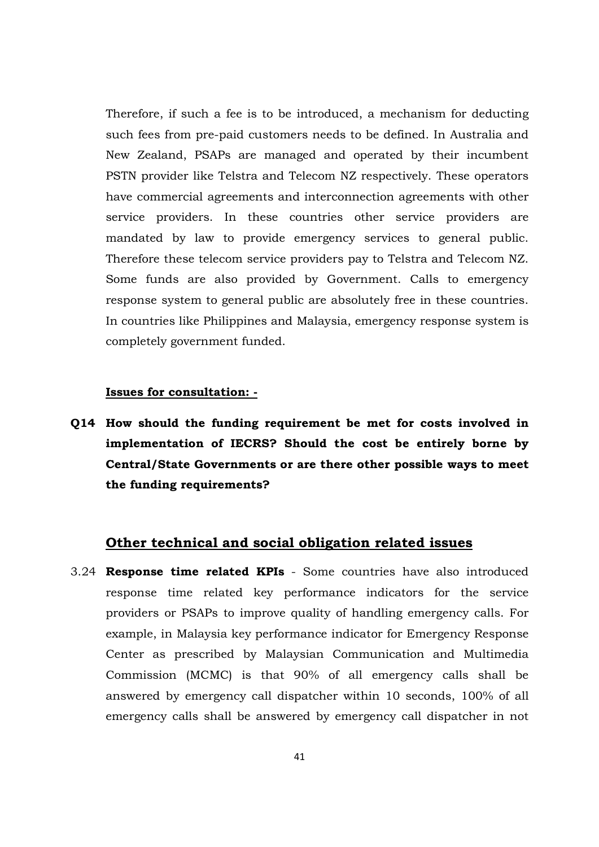Therefore, if such a fee is to be introduced, a mechanism for deducting such fees from pre-paid customers needs to be defined. In Australia and New Zealand, PSAPs are managed and operated by their incumbent PSTN provider like Telstra and Telecom NZ respectively. These operators have commercial agreements and interconnection agreements with other service providers. In these countries other service providers are mandated by law to provide emergency services to general public. Therefore these telecom service providers pay to Telstra and Telecom NZ. Some funds are also provided by Government. Calls to emergency response system to general public are absolutely free in these countries. In countries like Philippines and Malaysia, emergency response system is completely government funded.

#### **Issues for consultation: -**

**Q14 How should the funding requirement be met for costs involved in implementation of IECRS? Should the cost be entirely borne by Central/State Governments or are there other possible ways to meet the funding requirements?** 

# **Other technical and social obligation related issues**

3.24 **Response time related KPIs** - Some countries have also introduced response time related key performance indicators for the service providers or PSAPs to improve quality of handling emergency calls. For example, in Malaysia key performance indicator for Emergency Response Center as prescribed by Malaysian Communication and Multimedia Commission (MCMC) is that 90% of all emergency calls shall be answered by emergency call dispatcher within 10 seconds, 100% of all emergency calls shall be answered by emergency call dispatcher in not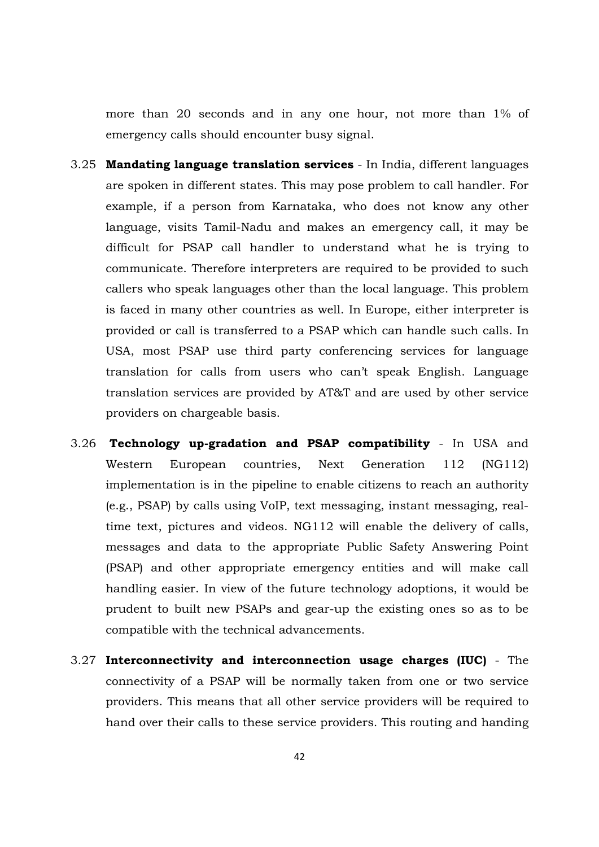more than 20 seconds and in any one hour, not more than 1% of emergency calls should encounter busy signal.

- 3.25 **Mandating language translation services** In India, different languages are spoken in different states. This may pose problem to call handler. For example, if a person from Karnataka, who does not know any other language, visits Tamil-Nadu and makes an emergency call, it may be difficult for PSAP call handler to understand what he is trying to communicate. Therefore interpreters are required to be provided to such callers who speak languages other than the local language. This problem is faced in many other countries as well. In Europe, either interpreter is provided or call is transferred to a PSAP which can handle such calls. In USA, most PSAP use third party conferencing services for language translation for calls from users who can't speak English. Language translation services are provided by AT&T and are used by other service providers on chargeable basis.
- 3.26 **Technology up-gradation and PSAP compatibility** In USA and Western European countries, Next Generation 112 (NG112) implementation is in the pipeline to enable citizens to reach an authority (e.g., PSAP) by calls using VoIP, text messaging, instant messaging, realtime text, pictures and videos. NG112 will enable the delivery of calls, messages and data to the appropriate Public Safety Answering Point (PSAP) and other appropriate emergency entities and will make call handling easier. In view of the future technology adoptions, it would be prudent to built new PSAPs and gear-up the existing ones so as to be compatible with the technical advancements.
- 3.27 **Interconnectivity and interconnection usage charges (IUC)**  The connectivity of a PSAP will be normally taken from one or two service providers. This means that all other service providers will be required to hand over their calls to these service providers. This routing and handing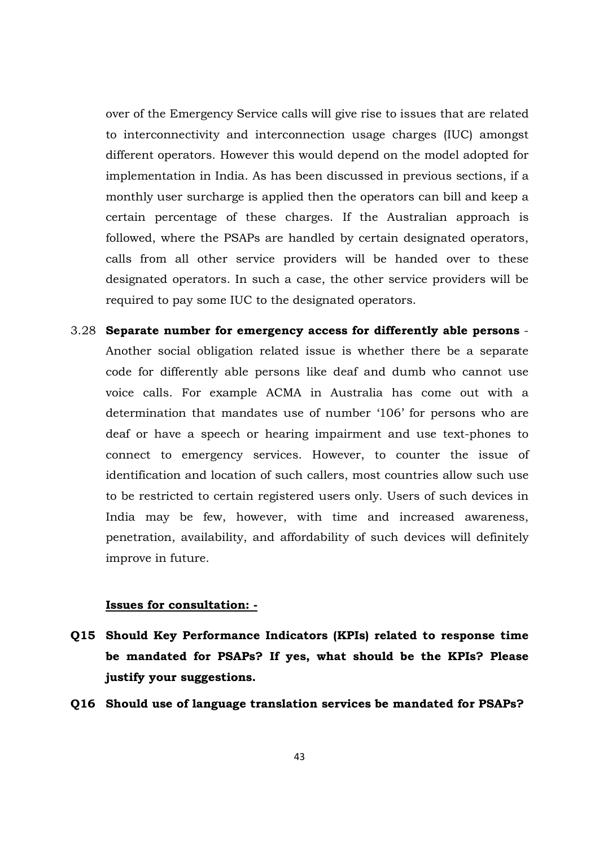over of the Emergency Service calls will give rise to issues that are related to interconnectivity and interconnection usage charges (IUC) amongst different operators. However this would depend on the model adopted for implementation in India. As has been discussed in previous sections, if a monthly user surcharge is applied then the operators can bill and keep a certain percentage of these charges. If the Australian approach is followed, where the PSAPs are handled by certain designated operators, calls from all other service providers will be handed over to these designated operators. In such a case, the other service providers will be required to pay some IUC to the designated operators.

3.28 **Separate number for emergency access for differently able persons** - Another social obligation related issue is whether there be a separate code for differently able persons like deaf and dumb who cannot use voice calls. For example ACMA in Australia has come out with a determination that mandates use of number '106' for persons who are deaf or have a speech or hearing impairment and use text-phones to connect to emergency services. However, to counter the issue of identification and location of such callers, most countries allow such use to be restricted to certain registered users only. Users of such devices in India may be few, however, with time and increased awareness, penetration, availability, and affordability of such devices will definitely improve in future.

## **Issues for consultation: -**

- **Q15 Should Key Performance Indicators (KPIs) related to response time be mandated for PSAPs? If yes, what should be the KPIs? Please justify your suggestions.**
- **Q16 Should use of language translation services be mandated for PSAPs?**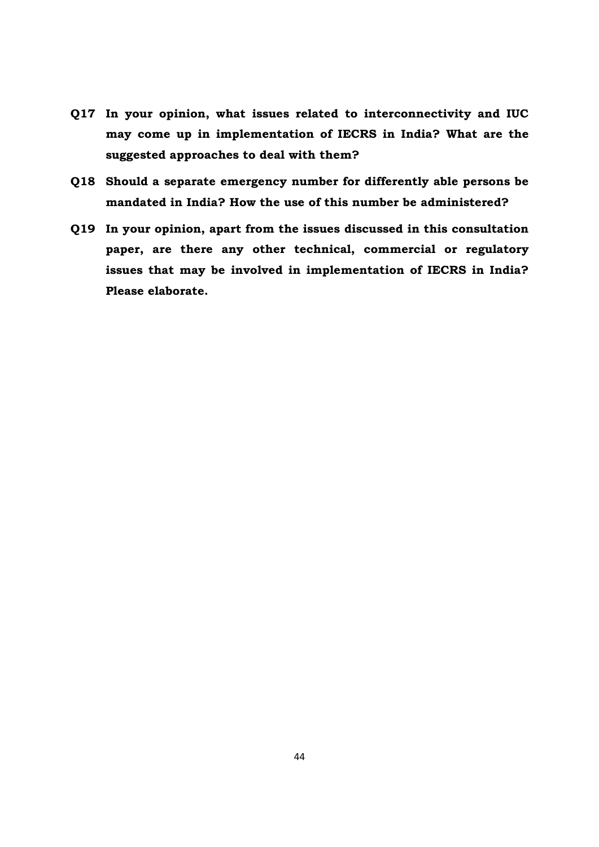- **Q17 In your opinion, what issues related to interconnectivity and IUC may come up in implementation of IECRS in India? What are the suggested approaches to deal with them?**
- **Q18 Should a separate emergency number for differently able persons be mandated in India? How the use of this number be administered?**
- **Q19 In your opinion, apart from the issues discussed in this consultation paper, are there any other technical, commercial or regulatory issues that may be involved in implementation of IECRS in India? Please elaborate.**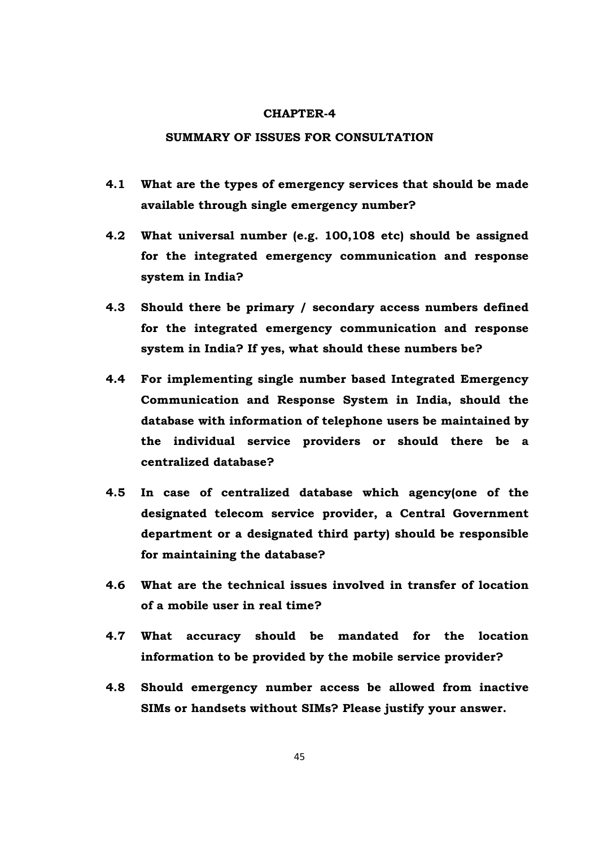#### **CHAPTER-4**

#### **SUMMARY OF ISSUES FOR CONSULTATION**

- **4.1 What are the types of emergency services that should be made available through single emergency number?**
- **4.2 What universal number (e.g. 100,108 etc) should be assigned for the integrated emergency communication and response system in India?**
- **4.3 Should there be primary / secondary access numbers defined for the integrated emergency communication and response system in India? If yes, what should these numbers be?**
- **4.4 For implementing single number based Integrated Emergency Communication and Response System in India, should the database with information of telephone users be maintained by the individual service providers or should there be a centralized database?**
- **4.5 In case of centralized database which agency(one of the designated telecom service provider, a Central Government department or a designated third party) should be responsible for maintaining the database?**
- **4.6 What are the technical issues involved in transfer of location of a mobile user in real time?**
- **4.7 What accuracy should be mandated for the location information to be provided by the mobile service provider?**
- **4.8 Should emergency number access be allowed from inactive SIMs or handsets without SIMs? Please justify your answer.**

45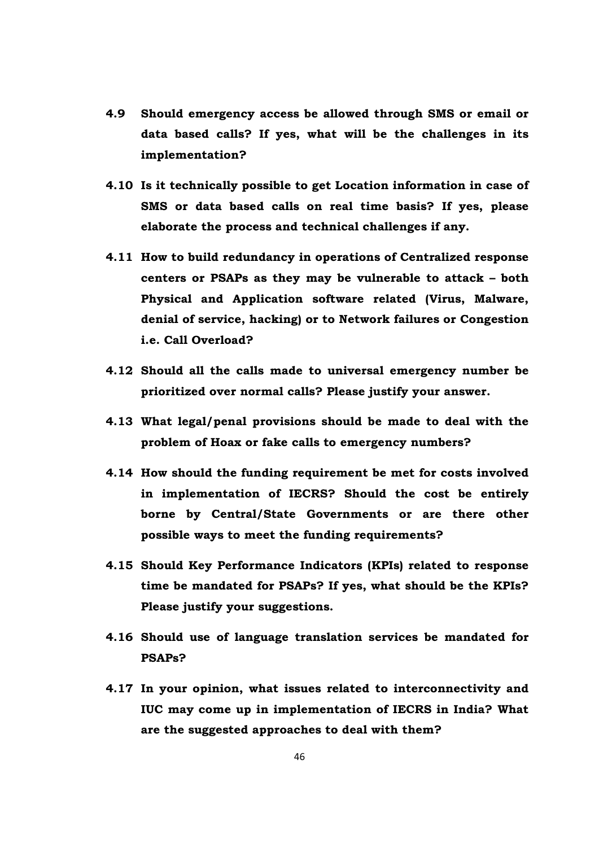- **4.9 Should emergency access be allowed through SMS or email or data based calls? If yes, what will be the challenges in its implementation?**
- **4.10 Is it technically possible to get Location information in case of SMS or data based calls on real time basis? If yes, please elaborate the process and technical challenges if any.**
- **4.11 How to build redundancy in operations of Centralized response centers or PSAPs as they may be vulnerable to attack – both Physical and Application software related (Virus, Malware, denial of service, hacking) or to Network failures or Congestion i.e. Call Overload?**
- **4.12 Should all the calls made to universal emergency number be prioritized over normal calls? Please justify your answer.**
- **4.13 What legal/penal provisions should be made to deal with the problem of Hoax or fake calls to emergency numbers?**
- **4.14 How should the funding requirement be met for costs involved in implementation of IECRS? Should the cost be entirely borne by Central/State Governments or are there other possible ways to meet the funding requirements?**
- **4.15 Should Key Performance Indicators (KPIs) related to response time be mandated for PSAPs? If yes, what should be the KPIs? Please justify your suggestions.**
- **4.16 Should use of language translation services be mandated for PSAPs?**
- **4.17 In your opinion, what issues related to interconnectivity and IUC may come up in implementation of IECRS in India? What are the suggested approaches to deal with them?**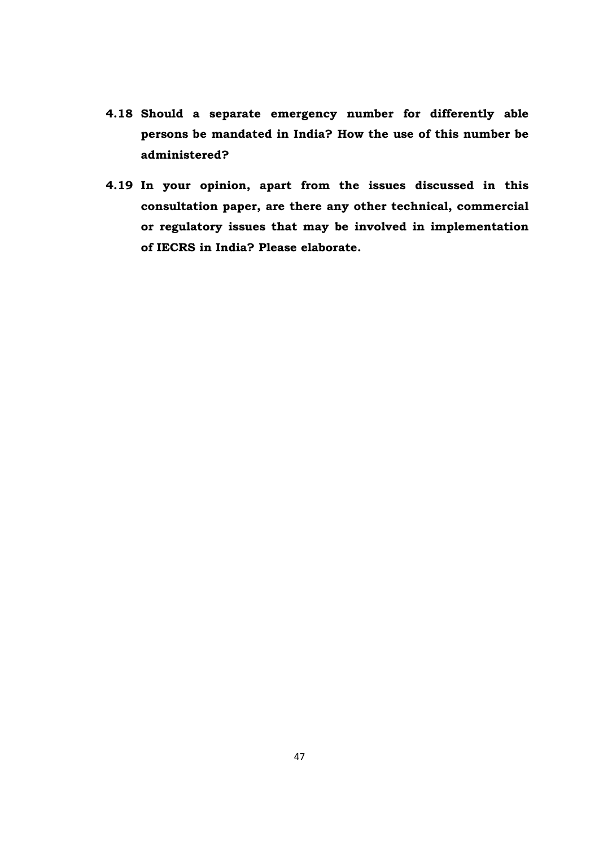- **4.18 Should a separate emergency number for differently able persons be mandated in India? How the use of this number be administered?**
- **4.19 In your opinion, apart from the issues discussed in this consultation paper, are there any other technical, commercial or regulatory issues that may be involved in implementation of IECRS in India? Please elaborate.**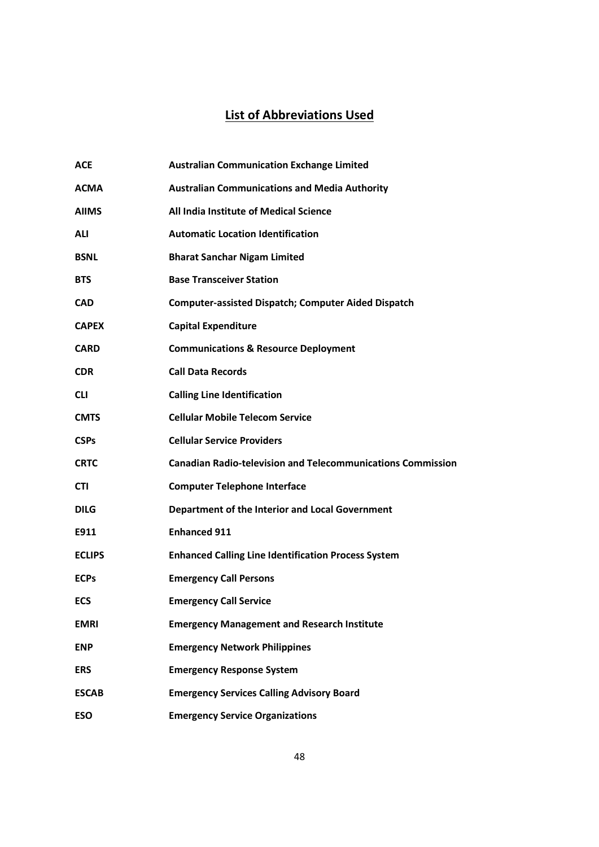# **List of Abbreviations Used**

| <b>ACE</b>    | <b>Australian Communication Exchange Limited</b>                   |
|---------------|--------------------------------------------------------------------|
| <b>ACMA</b>   | <b>Australian Communications and Media Authority</b>               |
| <b>AIIMS</b>  | All India Institute of Medical Science                             |
| ALI           | <b>Automatic Location Identification</b>                           |
| <b>BSNL</b>   | <b>Bharat Sanchar Nigam Limited</b>                                |
| <b>BTS</b>    | <b>Base Transceiver Station</b>                                    |
| <b>CAD</b>    | <b>Computer-assisted Dispatch; Computer Aided Dispatch</b>         |
| <b>CAPEX</b>  | <b>Capital Expenditure</b>                                         |
| <b>CARD</b>   | <b>Communications &amp; Resource Deployment</b>                    |
| <b>CDR</b>    | <b>Call Data Records</b>                                           |
| <b>CLI</b>    | <b>Calling Line Identification</b>                                 |
| <b>CMTS</b>   | <b>Cellular Mobile Telecom Service</b>                             |
| <b>CSPs</b>   | <b>Cellular Service Providers</b>                                  |
| <b>CRTC</b>   | <b>Canadian Radio-television and Telecommunications Commission</b> |
| CTI           | <b>Computer Telephone Interface</b>                                |
| <b>DILG</b>   | Department of the Interior and Local Government                    |
| E911          | <b>Enhanced 911</b>                                                |
| <b>ECLIPS</b> | <b>Enhanced Calling Line Identification Process System</b>         |
| <b>ECPs</b>   | <b>Emergency Call Persons</b>                                      |
| <b>ECS</b>    | <b>Emergency Call Service</b>                                      |
| <b>EMRI</b>   | <b>Emergency Management and Research Institute</b>                 |
| <b>ENP</b>    | <b>Emergency Network Philippines</b>                               |
| <b>ERS</b>    | <b>Emergency Response System</b>                                   |
| <b>ESCAB</b>  | <b>Emergency Services Calling Advisory Board</b>                   |
| <b>ESO</b>    | <b>Emergency Service Organizations</b>                             |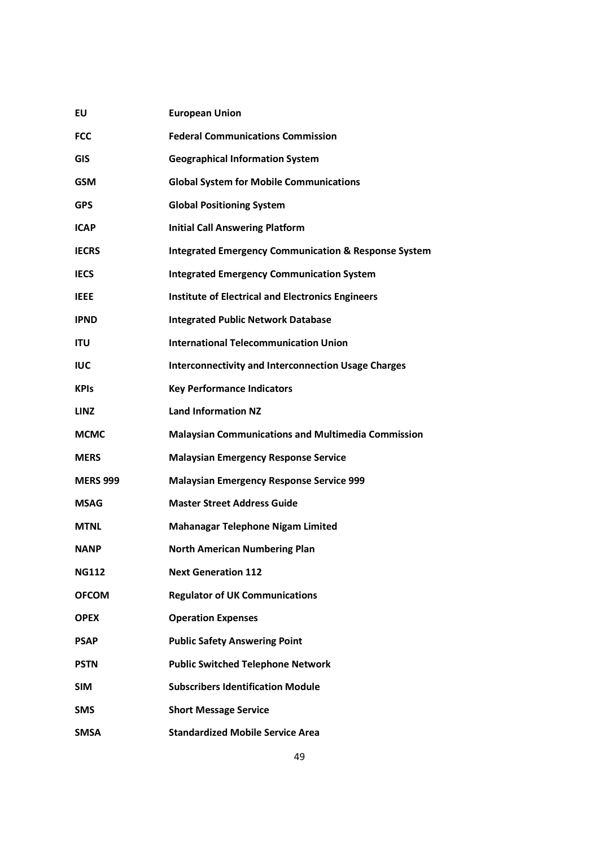| EU              | <b>European Union</b>                                           |
|-----------------|-----------------------------------------------------------------|
| <b>FCC</b>      | <b>Federal Communications Commission</b>                        |
| <b>GIS</b>      | <b>Geographical Information System</b>                          |
| <b>GSM</b>      | <b>Global System for Mobile Communications</b>                  |
| <b>GPS</b>      | <b>Global Positioning System</b>                                |
| <b>ICAP</b>     | <b>Initial Call Answering Platform</b>                          |
| <b>IECRS</b>    | <b>Integrated Emergency Communication &amp; Response System</b> |
| <b>IECS</b>     | <b>Integrated Emergency Communication System</b>                |
| <b>IEEE</b>     | <b>Institute of Electrical and Electronics Engineers</b>        |
| <b>IPND</b>     | <b>Integrated Public Network Database</b>                       |
| <b>ITU</b>      | <b>International Telecommunication Union</b>                    |
| <b>IUC</b>      | <b>Interconnectivity and Interconnection Usage Charges</b>      |
| <b>KPIs</b>     | <b>Key Performance Indicators</b>                               |
| <b>LINZ</b>     | <b>Land Information NZ</b>                                      |
| <b>MCMC</b>     | <b>Malaysian Communications and Multimedia Commission</b>       |
| <b>MERS</b>     | <b>Malaysian Emergency Response Service</b>                     |
| <b>MERS 999</b> | <b>Malaysian Emergency Response Service 999</b>                 |
| MSAG            | <b>Master Street Address Guide</b>                              |
| <b>MTNL</b>     | <b>Mahanagar Telephone Nigam Limited</b>                        |
| <b>NANP</b>     | <b>North American Numbering Plan</b>                            |
| <b>NG112</b>    | <b>Next Generation 112</b>                                      |
| <b>OFCOM</b>    | <b>Regulator of UK Communications</b>                           |
| <b>OPEX</b>     | <b>Operation Expenses</b>                                       |
| PSAP            | <b>Public Safety Answering Point</b>                            |
| <b>PSTN</b>     | <b>Public Switched Telephone Network</b>                        |
| <b>SIM</b>      | <b>Subscribers Identification Module</b>                        |
| <b>SMS</b>      | <b>Short Message Service</b>                                    |
| <b>SMSA</b>     | <b>Standardized Mobile Service Area</b>                         |